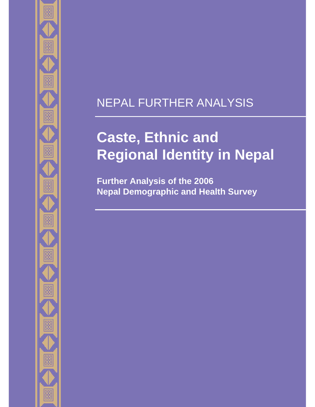# NEPAL FURTHER ANALYSIS

# **Caste, Ethnic and Regional Identity in Nepal**

**Further Analysis of the 2006 Nepal Demographic and Health Survey**

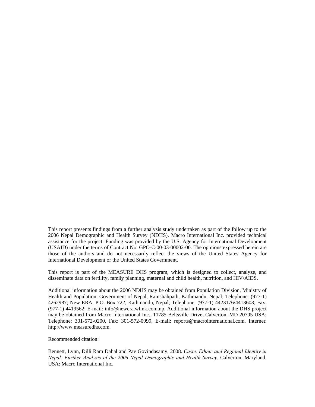This report presents findings from a further analysis study undertaken as part of the follow up to the 2006 Nepal Demographic and Health Survey (NDHS). Macro International Inc. provided technical assistance for the project. Funding was provided by the U.S. Agency for International Development (USAID) under the terms of Contract No. GPO-C-00-03-00002-00. The opinions expressed herein are those of the authors and do not necessarily reflect the views of the United States Agency for International Development or the United States Government.

This report is part of the MEASURE DHS program, which is designed to collect, analyze, and disseminate data on fertility, family planning, maternal and child health, nutrition, and HIV/AIDS.

Additional information about the 2006 NDHS may be obtained from Population Division, Ministry of Health and Population, Government of Nepal, Ramshahpath, Kathmandu, Nepal; Telephone: (977-1) 4262987; New ERA, P.O. Box 722, Kathmandu, Nepal; Telephone: (977-1) 4423176/4413603; Fax: (977-1) 4419562; E-mail: info@newera.wlink.com.np. Additional information about the DHS project may be obtained from Macro International Inc., 11785 Beltsville Drive, Calverton, MD 20705 USA; Telephone: 301-572-0200, Fax: 301-572-0999, E-mail: reports@macrointernational.com, Internet: http://www.measuredhs.com.

Recommended citation:

Bennett, Lynn, Dilli Ram Dahal and Pav Govindasamy, 2008. *Caste, Ethnic and Regional Identity in Nepal: Further Analysis of the 2006 Nepal Demographic and Health Survey*. Calverton, Maryland, USA: Macro International Inc.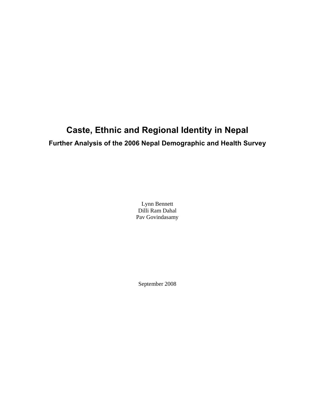# **Caste, Ethnic and Regional Identity in Nepal Further Analysis of the 2006 Nepal Demographic and Health Survey**

Lynn Bennett Dilli Ram Dahal Pav Govindasamy

September 2008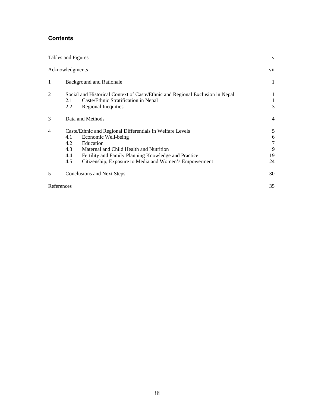# **Contents**

|                | Tables and Figures              |                                                                                                                                                                                                                                                            | V                                 |
|----------------|---------------------------------|------------------------------------------------------------------------------------------------------------------------------------------------------------------------------------------------------------------------------------------------------------|-----------------------------------|
|                | Acknowledgments                 |                                                                                                                                                                                                                                                            | vii                               |
| 1              |                                 | <b>Background and Rationale</b>                                                                                                                                                                                                                            | 1                                 |
| $\overline{c}$ | 2.1<br>2.2                      | Social and Historical Context of Caste/Ethnic and Regional Exclusion in Nepal<br>Caste/Ethnic Stratification in Nepal<br>Regional Inequities                                                                                                               | 1<br>3                            |
| 3              | Data and Methods                |                                                                                                                                                                                                                                                            | $\overline{4}$                    |
| 4              | 4.1<br>4.2<br>4.3<br>4.4<br>4.5 | Caste/Ethnic and Regional Differentials in Welfare Levels<br>Economic Well-being<br>Education<br>Maternal and Child Health and Nutrition<br>Fertility and Family Planning Knowledge and Practice<br>Citizenship, Exposure to Media and Women's Empowerment | 5<br>6<br>$\tau$<br>9<br>19<br>24 |
| 5              |                                 | <b>Conclusions and Next Steps</b>                                                                                                                                                                                                                          | 30                                |
|                | References                      |                                                                                                                                                                                                                                                            | 35                                |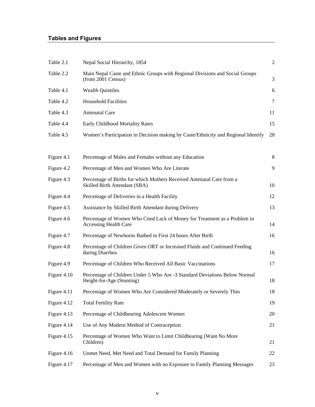# **Tables and Figures**

| Table 2.1   | Nepal Social Hierarchy, 1854                                                                            | $\overline{2}$ |
|-------------|---------------------------------------------------------------------------------------------------------|----------------|
| Table 2.2   | Main Nepal Caste and Ethnic Groups with Regional Divisions and Social Groups<br>(from 2001 Census)      | 3              |
| Table 4.1   | <b>Wealth Quintiles</b>                                                                                 | 6              |
| Table 4.2   | <b>Household Facilities</b>                                                                             | $\tau$         |
| Table 4.3   | <b>Antenatal Care</b>                                                                                   | 11             |
| Table 4.4   | <b>Early Childhood Mortality Rates</b>                                                                  | 15             |
| Table 4.5   | Women's Participation in Decision making by Caste/Ethnicity and Regional Identify                       | 28             |
| Figure 4.1  | Percentage of Males and Females without any Education                                                   | 8              |
| Figure 4.2  | Percentage of Men and Women Who Are Literate                                                            | 9              |
| Figure 4.3  | Percentage of Births for which Mothers Received Antenatal Care from a<br>Skilled Birth Attendant (SBA)  | 10             |
| Figure 4.4  | Percentage of Deliveries in a Health Facility                                                           | 12             |
| Figure 4.5  | Assistance by Skilled Birth Attendant during Delivery                                                   | 13             |
| Figure 4.6  | Percentage of Women Who Cited Lack of Money for Treatment as a Problem in<br>Accessing Health Care      | 14             |
| Figure 4.7  | Percentage of Newborns Bathed in First 24 hours After Birth                                             | 16             |
| Figure 4.8  | Percentage of Children Given ORT or Increased Fluids and Continued Feeding<br>during Diarrhea           | 16             |
| Figure 4.9  | Percentage of Children Who Received All Basic Vaccinations                                              | 17             |
| Figure 4.10 | Percentage of Children Under 5 Who Are -3 Standard Deviations Below Normal<br>Height-for-Age (Stunting) | 18             |
| Figure 4.11 | Percentage of Women Who Are Considered Moderately or Severely Thin                                      | 18             |
| Figure 4.12 | <b>Total Fertility Rate</b>                                                                             | 19             |
| Figure 4.13 | Percentage of Childbearing Adolescent Women                                                             | 20             |
| Figure 4.14 | Use of Any Modern Method of Contraception                                                               | 21             |
| Figure 4.15 | Percentage of Women Who Want to Limit Childbearing (Want No More<br>Children)                           | 21             |
| Figure 4.16 | Unmet Need, Met Need and Total Demand for Family Planning                                               | 22             |
| Figure 4.17 | Percentage of Men and Women with no Exposure to Family Planning Messages                                | 23             |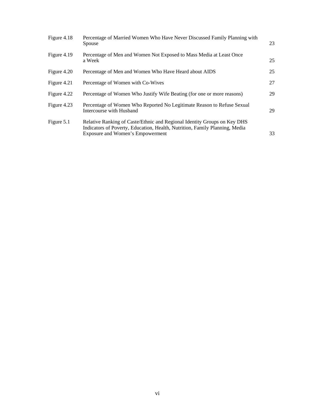| Figure 4.18 | Percentage of Married Women Who Have Never Discussed Family Planning with<br>Spouse                                                                                                                | 23 |
|-------------|----------------------------------------------------------------------------------------------------------------------------------------------------------------------------------------------------|----|
| Figure 4.19 | Percentage of Men and Women Not Exposed to Mass Media at Least Once<br>a Week                                                                                                                      | 25 |
| Figure 4.20 | Percentage of Men and Women Who Have Heard about AIDS                                                                                                                                              | 25 |
| Figure 4.21 | Percentage of Women with Co-Wives                                                                                                                                                                  | 27 |
| Figure 4.22 | Percentage of Women Who Justify Wife Beating (for one or more reasons)                                                                                                                             | 29 |
| Figure 4.23 | Percentage of Women Who Reported No Legitimate Reason to Refuse Sexual<br>Intercourse with Husband                                                                                                 | 29 |
| Figure 5.1  | Relative Ranking of Caste/Ethnic and Regional Identity Groups on Key DHS<br>Indicators of Poverty, Education, Health, Nutrition, Family Planning, Media<br><b>Exposure and Women's Empowerment</b> | 33 |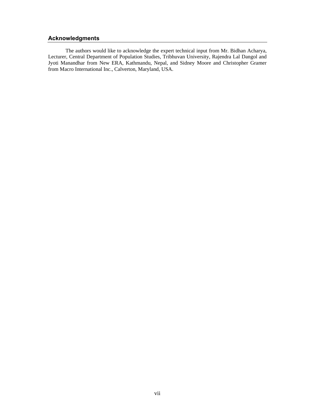# **Acknowledgments**

The authors would like to acknowledge the expert technical input from Mr. Bidhan Acharya, Lecturer, Central Department of Population Studies, Tribhuvan University, Rajendra Lal Dangol and Jyoti Manandhar from New ERA, Kathmandu, Nepal, and Sidney Moore and Christopher Gramer from Macro International Inc., Calverton, Maryland, USA.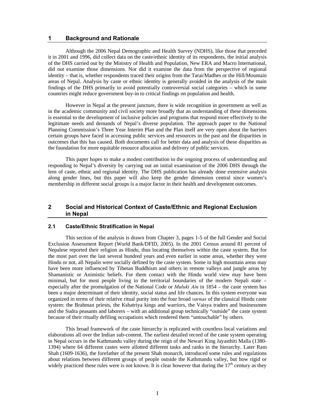#### **1 Background and Rationale**

Although the 2006 Nepal Demographic and Health Survey (NDHS), like those that preceded it in 2001 and 1996, did collect data on the caste/ethnic identity of its respondents, the initial analysis of the DHS carried out by the Ministry of Health and Population, New ERA and Macro International, did not examine those dimensions. Nor did it examine the data from the perspective of regional identity – that is, whether respondents traced their origins from the Tarai/Madhes or the Hill/Mountain areas of Nepal. Analysis by caste or ethnic identity is generally avoided in the analysis of the main findings of the DHS primarily to avoid potentially controversial social categories – which in some countries might reduce government buy-in to critical findings on population and health.

However in Nepal at the present juncture, there is wide recognition in government as well as in the academic community and civil society more broadly that an understanding of these dimensions is essential to the development of inclusive policies and programs that respond more effectively to the legitimate needs and demands of Nepal's diverse population. The approach paper to the National Planning Commission's Three Year Interim Plan and the Plan itself are very open about the barriers certain groups have faced in accessing public services and resources in the past and the disparities in outcomes that this has caused. Both documents call for better data and analysis of these disparities as the foundation for more equitable resource allocation and delivery of public services.

This paper hopes to make a modest contribution to the ongoing process of understanding and responding to Nepal's diversity by carrying out an initial examination of the 2006 DHS through the lens of caste, ethnic and regional identity. The DHS publication has already done extensive analysis along gender lines, but this paper will also keep the gender dimension central since women's membership in different social groups is a major factor in their health and development outcomes.

# **2 Social and Historical Context of Caste/Ethnic and Regional Exclusion in Nepal**

# **2.1 Caste/Ethnic Stratification in Nepal**

This section of the analysis is drawn from Chapter 3, pages 1-5 of the full Gender and Social Exclusion Assessment Report (World Bank/DFID, 2005). In the 2001 Census around 81 percent of Nepalese reported their religion as Hindu, thus locating themselves within the caste system. But for the most part over the last several hundred years and even earlier in some areas, whether they were Hindu or not, all Nepalis were socially defined by the caste system. Some in high mountain areas may have been more influenced by Tibetan Buddhism and others in remote valleys and jungle areas by Shamanistic or Animistic beliefs. For them contact with the Hindu world view may have been minimal, but for most people living in the territorial boundaries of the modern Nepali state – especially after the promulgation of the National Code or *Muluki Ain* in 1854 – the caste system has been a major determinant of their identity, social status and life chances. In this system everyone was organized in terms of their relative ritual purity into the four broad *varnas* of the classical Hindu caste system: the Brahman priests, the Kshatriya kings and warriors, the Vaisya traders and businessmen and the Sudra peasants and laborers – with an additional group technically "outside" the caste system because of their ritually defiling occupations which rendered them "untouchable" by others.

This broad framework of the caste hierarchy is replicated with countless local variations and elaborations all over the Indian sub-content. The earliest detailed record of the caste system operating in Nepal occurs in the Kathmandu valley during the reign of the Newari King Jayasthiti Malla (1380- 1394) where 64 different castes were allotted different tasks and ranks in the hierarchy. Later Ram Shah (1609-1636), the forefather of the present Shah monarch, introduced some rules and regulations about relations between different groups of people outside the Kathmandu valley, but how rigid or widely practiced these rules were is not known. It is clear however that during the  $17<sup>th</sup>$  century as they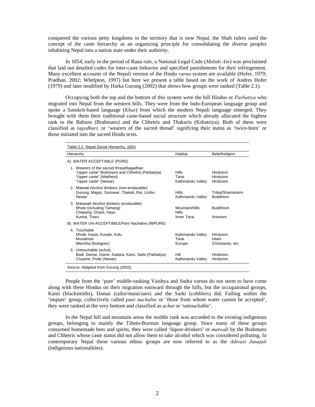conquered the various petty kingdoms in the territory that is now Nepal, the Shah rulers used the concept of the caste hierarchy as an organizing principle for consolidating the diverse peoples inhabiting Nepal into a nation state under their authority.

In 1854, early in the period of Rana rule, a National Legal Code (*Muluki Ain*) was proclaimed that laid out detailed codes for inter-caste behavior and specified punishments for their infringement. Many excellent accounts of the Nepali version of the Hindu *varna* system are available (Hofer, 1979; Pradhan, 2002; Whelpton, 1997) but here we present a table based on the work of Andres Hofer (1979) and later modified by Harka Gurung (2002) that shows how groups were ranked (Table 2.1).

Occupying both the top and the bottom of this system were the hill Hindus or *Parbatiya* who migrated into Nepal from the western hills. They were from the Indo-European language group and spoke a Sanskrit-based language (*Khas*) from which the modern Nepali language emerged. They brought with them their traditional caste-based social structure which already allocated the highest rank to the Bahuns (Brahmans) and the Chhetris and Thakuris (Kshatriya). Both of these were classified as *tagedhari,* or 'wearers of the sacred thread' signifying their status as 'twice-born' or those initiated into the sacred Hindu texts.

| Table 2.1 Nepal Social Hierarchy, 1854                                                                                                           |                                               |                                         |  |  |  |
|--------------------------------------------------------------------------------------------------------------------------------------------------|-----------------------------------------------|-----------------------------------------|--|--|--|
| Hierarchy                                                                                                                                        | Habitat                                       | Belief/religion                         |  |  |  |
| A) WATER ACCEPTABLE (PURE)                                                                                                                       |                                               |                                         |  |  |  |
| 1. Wearers of the sacred thread/tagadhari<br>"Upper caste" Brahmans and Chhetris (Parbatiya)<br>"Upper caste" (Madhesi)<br>"Upper caste" (Newar) | <b>Hills</b><br>Tarai<br>Kathmandu Valley     | Hinduism<br>Hinduism<br>Hinduism        |  |  |  |
| 2. Matwali Alcohol drinkers (non-enslavable)<br>Gurung, Magar, Sunuwar, Thakali, Rai, Limbu<br>Newar                                             | Hills<br>Kathmandu Valley                     | Tribal/Shamanism<br><b>Buddhism</b>     |  |  |  |
| 3. Matawali Alcohol drinkers (enslavable)<br>Bhote (including Tamang)<br>Chepang, Gharti, Hayu<br>Kumal, Tharu                                   | Mountain/Hills<br><b>Hills</b><br>Inner Tarai | <b>Buddhism</b><br>Animism              |  |  |  |
| B) WATER UN-ACCEPTABLE/Pani Nachalne (IMPURE)                                                                                                    |                                               |                                         |  |  |  |
| 4. Touchable<br>Dhobi, Kasai, Kusale, Kulu<br>Musalman<br>Mlechha (foreigner)                                                                    | Kathmandu Valley<br>Tarai<br>Europe           | Hinduism<br>Islam<br>Christianity, etc. |  |  |  |
| 5. Untouchable (achut)<br>Badi, Damai, Gaine, Kadara, Kami, Sarki (Parbatiya)<br>Chyame, Pode (Newar)                                            | Hill<br>Kathmandu Valley                      | Hinduism<br>Hinduism                    |  |  |  |
| Source: Adapted from Gurung (2002).                                                                                                              |                                               |                                         |  |  |  |

People from the 'pure' middle-ranking Vaishya and Sudra varnas do not seem to have come along with these Hindus on their migration eastward through the hills, but the occupational groups, Kami (blacksmiths), Damai (tailor/musicians) and the Sarki (cobblers) did. Falling within the 'impure' group, collectively called *pani nachalne* or 'those from whom water cannot be accepted', they were ranked at the very bottom and classified as *achut* or 'untouchable'.

In the Nepal hill and mountain areas the middle rank was accorded to the existing indigenous groups, belonging to mainly the Tibeto-Burman language group. Since many of these groups consumed homemade beer and spirits, they were called 'liquor-drinkers' or *matwali* by the Brahmans and Chhetris whose caste status did not allow them to take alcohol which was considered polluting. In contemporary Nepal these various ethnic groups are now referred to as the *Adivasi Janajati* (indigenous nationalities).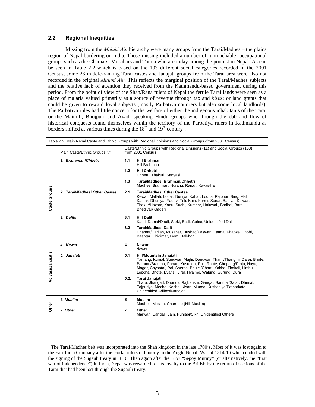# **2.2 Regional Inequities**

Missing from the *Muluki Ain* hierarchy were many groups from the Tarai/Madhes – the plains region of Nepal bordering on India. Those missing included a number of 'untouchable' occupational groups such as the Chamars, Musahars and Tatma who are today among the poorest in Nepal. As can be seen in Table 2.2 which is based on the 103 different social categories recorded in the 2001 Census, some 26 middle-ranking Tarai castes and Janajati groups from the Tarai area were also not recorded in the original *Muluki Ain.* This reflects the marginal position of the Tarai/Madhes subjects and the relative lack of attention they received from the Kathmandu-based government during this period. From the point of view of the Shah/Rana rulers of Nepal the fertile Tarai lands were seen as a place of malaria valued primarily as a source of revenue through tax and *birtas* or land grants that could be given to reward loyal subjects (mostly Parbatiya courtiers but also some local landlords). The Parbatiya rules had little concern for the welfare of either the indigenous inhabitants of the Tarai or the Maithili, Bhojpuri and Avadi speaking Hindu groups who through the ebb and flow of historical conquests found themselves within the territory of the Parbatiya rulers in Kathmandu as borders shifted at various times during the  $18<sup>th</sup>$  and  $19<sup>th</sup>$  century<sup>1</sup>.

|                   |                               |      | Table 2.2 Main Nepal Caste and Ethnic Groups with Regional Divisions and Social Groups (from 2001 Census)                                                                                                                                                                                                |
|-------------------|-------------------------------|------|----------------------------------------------------------------------------------------------------------------------------------------------------------------------------------------------------------------------------------------------------------------------------------------------------------|
|                   | Main Caste/Ethnic Groups (7)  |      | Caste/Ethnic Groups with Regional Divisions (11) and Social Groups (103)<br>from 2001 Census                                                                                                                                                                                                             |
|                   | 1. Brahaman/Chhetri           | 1.1  | <b>Hill Brahman</b><br>Hill Brahman                                                                                                                                                                                                                                                                      |
|                   |                               | 1.2  | <b>Hill Chhetri</b><br>Chhetri, Thakuri, Sanyasi                                                                                                                                                                                                                                                         |
|                   |                               | 1.3  | Tarai/Madhesi Brahman/Chhetri<br>Madhesi Brahman, Nurang, Rajput, Kayastha                                                                                                                                                                                                                               |
| Caste Groups      | 2. TarailMadhesi Other Castes | 2.1  | <b>Tarai/Madhesi Other Castes</b><br>Kewat, Mallah, Lohar, Nuniya, Kahar, Lodha, Rajbhar, Bing, Mali<br>Kamar, Dhuniya, Yadav, Teli, Koiri, Kurmi, Sonar, Baniya, Kalwar,<br>Thakur/Hazam, Kanu, Sudhi, Kumhar, Haluwai, Badhai, Barai,<br>Bhediyar/ Gaderi                                              |
|                   | 3. Dalits                     | 3.1  | <b>Hill Dalit</b><br>Kami, Damai/Dholi, Sarki, Badi, Gaine, Unidentified Dalits                                                                                                                                                                                                                          |
|                   |                               | 3.2  | <b>Tarai/Madhesi Dalit</b><br>Chamar/Harijan, Musahar, Dushad/Paswan, Tatma, Khatwe, Dhobi,<br>Baantar, Chidimar, Dom, Halkhor                                                                                                                                                                           |
|                   | 4. Newar                      | 4    | <b>Newar</b><br>Newar                                                                                                                                                                                                                                                                                    |
| Adivasi/Janajatis | 5. Janajati                   | 5.1  | Hill/Mountain Janajati<br>Tamang, Kumal, Sunuwar, Majhi, Danuwar, Thami/Thangmi, Darai, Bhote,<br>Baramu/Bramhu, Pahari, Kusunda, Raji, Raute, Chepang/Praja, Hayu,<br>Magar, Chyantal, Rai, Sherpa, Bhujel/Gharti, Yakha, Thakali, Limbu,<br>Lepcha, Bhote, Byansi, Jirel, Hyalmo, Walung, Gurung, Dura |
|                   |                               | 5.2. | Tarai Janajati<br>Tharu, Jhangad, Dhanuk, Rajbanshi, Gangai, Santhal/Satar, Dhimal,<br>Tajpuriya, Meche, Koche, Kisan, Munda, Kusbadiya/Patharkata,<br>Unidentified Adibasi/Janajati                                                                                                                     |
|                   | 6. Muslim                     | 6    | <b>Muslim</b><br>Madhesi Muslim, Churoute (Hill Muslim)                                                                                                                                                                                                                                                  |
| Other             | 7. Other                      | 7    | Other<br>Marwari, Bangali, Jain, Punjabi/Sikh, Unidentified Others                                                                                                                                                                                                                                       |

<sup>&</sup>lt;sup>1</sup> The Tarai/Madhes belt was incorporated into the Shah kingdom in the late 1700's. Most of it was lost again to the East India Company after the Gorka rulers did poorly in the Anglo Nepali War of 1814-16 which ended with the signing of the Sugauli treaty in 1816. Then again after the 1857 "Sepoy Mutiny" (or alternatively, the "first war of independence") in India, Nepal was rewarded for its loyalty to the British by the return of sections of the Tarai that had been lost through the Sugauli treaty.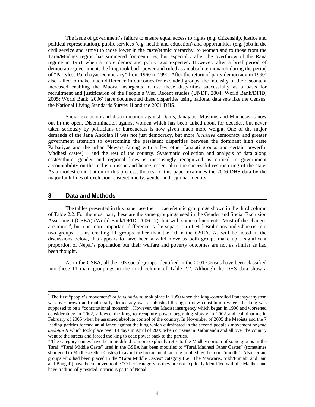The issue of government's failure to ensure equal access to rights (e.g. citizenship, justice and political representation), public services (e.g. health and education) and opportunities (e.g. jobs in the civil service and army) to those lower in the caste/ethnic hierarchy, to women and to those from the Tarai/Madhes region has simmered for centuries, but especially after the overthrow of the Rana regime in 1951 when a more democratic polity was expected. However, after a brief period of democratic government, the king took back power and ruled as an absolute monarch during the period of "Partyless Panchayat Democracy" from 1960 to 1990. After the return of party democracy in 1990<sup>2</sup> also failed to make much difference in outcomes for excluded groups, the intensity of the discontent increased enabling the Maoist insurgents to use these disparities successfully as a basis for recruitment and justification of the People's War. Recent studies (UNDP, 2004; World Bank/DFID, 2005; World Bank, 2006) have documented these disparities using national data sets like the Census, the National Living Standards Survey II and the 2001 DHS.

Social exclusion and discrimination against Dalits, Janajatis, Muslims and Madhesis is now out in the open. Discrimination against women which has been talked about for decades, but never taken seriously by politicians or bureaucrats is now given much more weight. One of the major demands of the Jana Andolan II was not just democracy, but more *inclusive* democracy and greater government attention to overcoming the persistent disparities between the dominant high caste Parbatiyas and the urban Newars (along with a few other Janajati groups and certain powerful Madhesi castes) – and the rest of the country. Systematic collection and analysis of data along caste/ethnic, gender and regional lines is increasingly recognized as critical to government accountability on the inclusion issue and hence, essential to the successful restructuring of the state. As a modest contribution to this process, the rest of this paper examines the 2006 DHS data by the major fault lines of exclusion: caste/ethnicity, gender and regional identity.

# **3 Data and Methods**

The tables presented in this paper use the 11 caste/ethnic groupings shown in the third column of Table 2.2. For the most part, these are the same groupings used in the Gender and Social Exclusion Assessment (GSEA) (World Bank/DFID, 2006:17), but with some refinements. Most of the changes are minor<sup>3</sup>, but one more important difference is the separation of Hill Brahmans and Chhetris into two groups – thus creating 11 groups rather than the 10 in the GSEA. As will be noted in the discussions below, this appears to have been a valid move as both groups make up a significant proportion of Nepal's population but their welfare and poverty outcomes are not as similar as had been thought.

As in the GSEA, all the 103 social groups identified in the 2001 Census have been classified into these 11 main groupings in the third column of Table 2.2. Although the DHS data show a

<sup>&</sup>lt;sup>2</sup> The first "people's movement" or *jana andolan* took place in 1990 when the king-controlled Panchayat system was overthrown and multi-party democracy was established through a new constitution where the king was supposed to be a "constitutional monarch". However, the Maoist insurgency which began in 1996 and worsened considerabley in 2002, allowed the king to recapture power beginning slowly in 2002 and culminating in February of 2005 when he assumed absolute control of the country. In November of 2005 the Maoists and the 7 leading parities formed an alliance against the king which culminated in the second people's movement or *jana andolan II* which took place over 19 days in April of 2006 when citizens in Kathmandu and all over the country went to the streets and forced the king to cede power back to the parties.

<sup>&</sup>lt;sup>3</sup> The category names have been modified to more explicitly refer to the Madhesi origin of some groups in the Tarai. "Tarai Middle Caste" used in the GSEA has been modified to "Tarai/Madhesi Other Castes" (sometimes shortened to Madhesi Other Castes) to avoid the hierarchical ranking implied by the term "middle". Also certain groups who had been placed in the "Tarai Middle Castes" category (i.e., The Marwaris, Sikh/Punjabi and Jain and Bangali) have been moved to the "Other" category as they are not explicitly identified with the Madhes and have traditionally resided in various parts of Nepal.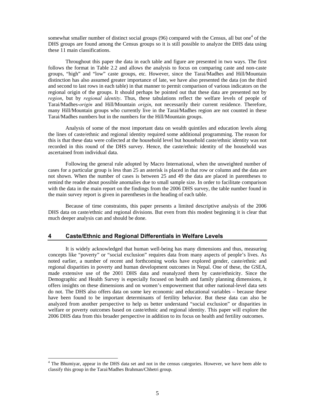somewhat smaller number of distinct social groups  $(96)$  compared with the Census, all but one<sup>4</sup> of the DHS groups are found among the Census groups so it is still possible to analyze the DHS data using these 11 main classifications.

Throughout this paper the data in each table and figure are presented in two ways. The first follows the format in Table 2.2 and allows the analysis to focus on comparing caste and non-caste groups, "high" and "low" caste groups, etc. However, since the Tarai/Madhes and Hill/Mountain distinction has also assumed greater importance of late, we have also presented the data (on the third and second to last rows in each table) in that manner to permit comparison of various indicators on the regional origin of the groups. It should perhaps be pointed out that these data are presented not by *region*, but by *regional identity*. Thus, these tabulations reflect the welfare levels of people of Tarai/Madhes-*origin* and Hill/Mountain *origin*, not necessarily their current residence. Therefore, many Hill/Mountain groups who currently live in the Tarai/Madhes region are not counted in these Tarai/Madhes numbers but in the numbers for the Hill/Mountain groups.

Analysis of some of the most important data on wealth quintiles and education levels along the lines of caste/ethnic and regional identity required some additional programming. The reason for this is that these data were collected at the household level but household caste/ethnic identity was not recorded in this round of the DHS survey. Hence, the caste/ethnic identity of the household was ascertained from individual data.

Following the general rule adopted by Macro International, when the unweighted number of cases for a particular group is less than 25 an asterisk is placed in that row or column and the data are not shown. When the number of cases is between 25 and 49 the data are placed in parentheses to remind the reader about possible anomalies due to small sample size. In order to facilitate comparison with the data in the main report on the findings from the 2006 DHS survey, the table number found in the main survey report is given in parentheses in the heading of each table.

Because of time constraints, this paper presents a limited descriptive analysis of the 2006 DHS data on caste/ethnic and regional divisions. But even from this modest beginning it is clear that much deeper analysis can and should be done.

## **4 Caste/Ethnic and Regional Differentials in Welfare Levels**

It is widely acknowledged that human well-being has many dimensions and thus, measuring concepts like "poverty" or "social exclusion" requires data from many aspects of people's lives. As noted earlier, a number of recent and forthcoming works have explored gender, caste/ethnic and regional disparities in poverty and human development outcomes in Nepal. One of these, the GSEA, made extensive use of the 2001 DHS data and reanalyzed them by caste/ethnicity. Since the Demographic and Health Survey is especially focused on health and family planning dimensions, it offers insights on these dimensions and on women's empowerment that other national-level data sets do not. The DHS also offers data on some key economic and educational variables – because these have been found to be important determinants of fertility behavior. But these data can also be analyzed from another perspective to help us better understand "social exclusion" or disparities in welfare or poverty outcomes based on caste/ethnic and regional identity. This paper will explore the 2006 DHS data from this broader perspective in addition to its focus on health and fertility outcomes.

<sup>&</sup>lt;sup>4</sup> The Bhumiyar, appear in the DHS data set and not in the census categories. However, we have been able to classify this group in the Tarai/Madhes Brahman/Chhetri group.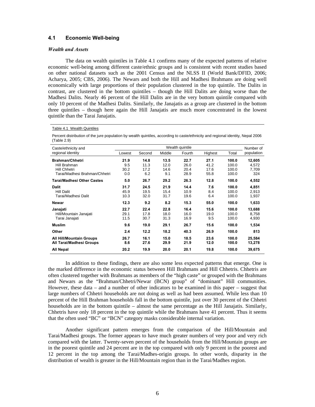# **4.1 Economic Well-being**

#### *Wealth and Assets*

The data on wealth quintiles in Table 4.1 confirms many of the expected patterns of relative economic well-being among different caste/ethnic groups and is consistent with recent studies based on other national datasets such as the 2001 Census and the NLSS II (World Bank/DFID, 2006; Acharya, 2005; CBS, 2006). The Newars and both the Hill and Madhesi Brahmans are doing well economically with large proportions of their population clustered in the top quintile. The Dalits in contrast, are clustered in the bottom quintiles – though the Hill Dalits are doing worse than the Madhesi Dalits. Nearly 46 percent of the Hill Dalits are in the very bottom quintile compared with only 10 percent of the Madhesi Dalits. Similarly, the Janajatis as a group are clustered in the bottom three quintiles – though here again the Hill Janajatis are much more concentrated in the lowest quintile than the Tarai Janajatis.

#### Table 4.1 Wealth Quintiles

Percent distribution of the jure population by wealth quintiles, according to caste/ethnicity and regional identity, Nepal 2006 (Table 2.9)

| Caste/ethnicity and                                  |             | Number of    |              |              |              |                |                  |
|------------------------------------------------------|-------------|--------------|--------------|--------------|--------------|----------------|------------------|
| regional identity                                    | Lowest      | Second       | Middle       | Fourth       | Highest      | Total          | population       |
| <b>Brahman/Chhetri</b>                               | 21.9        | 14.8         | 13.5         | 22.7         | 27.1         | 100.0          | 12,605           |
| Hill Brahman                                         | 9.5         | 11.3         | 12.0         | 26.0         | 41.2         | 100.0          | 4,572            |
| Hill Chhetri                                         | 30.2        | 17.2         | 14.6         | 20.4         | 17.6         | 100.0          | 7,709            |
| Tarai/Madhesi Brahman/Chhetri                        | 0.0         | 6.2          | 9.1          | 28.9         | 55.8         | 100.0          | 324              |
| Tarai/Madhesi Other Castes                           | 5.0         | 26.7         | 29.2         | 26.3         | 12.8         | 100.0          | 4,552            |
| <b>Dalit</b>                                         | 31.7        | 24.5         | 21.9         | 14.4         | 7.6          | 100.0          | 4,851            |
| <b>Hill Dalit</b>                                    | 45.9        | 19.5         | 15.4         | 10.9         | 8.4          | 100.0          | 2,913            |
| Tarai/Madhesi Dalit                                  | 10.3        | 32.0         | 31.7         | 19.6         | 6.4          | 100.0          | 1,937            |
| <b>Newar</b>                                         | 12.3        | 9.2          | 8.2          | 15.3         | 55.0         | 100.0          | 1,633            |
| Janajati                                             | 22.7        | 22.4         | 22.8         | 16.4         | 15.6         | 100.0          | 13,688           |
| Hill/Mountain Janajati                               | 29.1        | 17.8         | 18.0         | 16.0         | 19.0         | 100.0          | 8,758            |
| Tarai Janajati                                       | 11.5        | 30.7         | 31.3         | 16.9         | 9.5          | 100.0          | 4,930            |
| <b>Muslim</b>                                        | 9.6         | 19.0         | 29.1         | 26.7         | 15.6         | 100.0          | 1,534            |
| Other                                                | 2.4         | 12.2         | 18.2         | 40.3         | 26.9         | 100.0          | 813              |
| All Hill/Mountain Groups<br>All Tarai/Madhesi Groups | 26.7<br>8.6 | 16.1<br>27.6 | 15.0<br>29.9 | 18.5<br>21.9 | 23.6<br>12.0 | 100.0<br>100.0 | 25.584<br>13,278 |
| <b>All Nepal</b>                                     | 20.2        | 19.9         | 20.0         | 20.1         | 19.8         | 100.0          | 39,675           |

In addition to these findings, there are also some less expected patterns that emerge. One is the marked difference in the economic status between Hill Brahmans and Hill Chhetris. Chhetris are often clustered together with Brahmans as members of the "high caste" or grouped with the Brahmans and Newars as the "Brahman/Chhetri/Newar (BCN) group" of "dominant" Hill communities. However, these data – and a number of other indicators to be examined in this paper – suggest that large numbers of Chhetri households are not doing as well as had been assumed. While less than 10 percent of the Hill Brahman households fall in the bottom quintile, just over 30 percent of the Chhetri households are in the bottom quintile – almost the same percentage as the Hill Janajatis. Similarly, Chhetris have only 18 percent in the top quintile while the Brahmans have 41 percent. Thus it seems that the often used "BC" or "BCN" category masks considerable internal variation.

Another significant pattern emerges from the comparison of the Hill/Mountain and Tarai/Madhesi groups. The former appears to have much greater numbers of very poor and very rich compared with the latter. Twenty-seven percent of the households from the Hill/Mountain groups are in the poorest quintile and 24 percent are in the top compared with only 9 percent in the poorest and 12 percent in the top among the Tarai/Madhes-origin groups. In other words, disparity in the distribution of wealth is greater in the Hill/Mountain region than in the Tarai/Madhes region.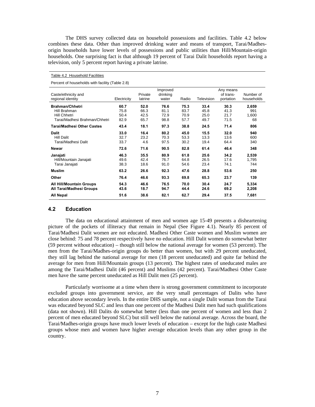The DHS survey collected data on household possessions and facilities. Table 4.2 below combines these data. Other than improved drinking water and means of transport, Tarai/Madhesorigin households have lower levels of possessions and public utilities than Hill/Mountain-origin households. One surprising fact is that although 19 percent of Tarai Dalit households report having a television, only 5 percent report having a private latrine.

| Percent of households with facility (Table 2.8)                                                |                              |                              |                               |                              |                              |                                     |                             |  |  |  |
|------------------------------------------------------------------------------------------------|------------------------------|------------------------------|-------------------------------|------------------------------|------------------------------|-------------------------------------|-----------------------------|--|--|--|
| Caste/ethnicity and<br>regional identity                                                       | Electricity                  | Private<br>latrine           | Improved<br>drinking<br>water | Radio                        | Television                   | Any means<br>of trans-<br>portation | Number of<br>households     |  |  |  |
| <b>Brahman/Chhetri</b><br>Hill Brahman<br><b>Hill Chhetri</b><br>Tarai/Madhesi Brahman/Chhetri | 60.7<br>75.8<br>50.4<br>82.9 | 52.0<br>66.3<br>42.5<br>65.7 | 76.6<br>81.1<br>72.9<br>98.8  | 75.3<br>83.7<br>70.9<br>57.7 | 33.4<br>45.8<br>25.0<br>49.7 | 30.3<br>41.3<br>21.7<br>71.5        | 2,659<br>991<br>1,600<br>68 |  |  |  |
| Tarai/Madhesi Other Castes                                                                     | 43.4                         | 18.1                         | 97.3                          | 38.8                         | 24.5                         | 71.4                                | 806                         |  |  |  |
| Dalit<br><b>Hill Dalit</b><br>Tarai/Madhesi Dalit                                              | 33.0<br>32.7<br>33.7         | 16.4<br>23.2<br>4.6          | 80.2<br>70.3<br>97.5          | 45.0<br>53.3<br>30.2         | 15.5<br>13.3<br>19.4         | 32.0<br>13.6<br>64.4                | 940<br>600<br>340           |  |  |  |
| Newar                                                                                          | 72.6                         | 71.6                         | 90.5                          | 82.8                         | 61.4                         | 46.4                                | 348                         |  |  |  |
| Janajati<br>Hill/Mountain Janajati<br>Tarai Janajati                                           | 46.3<br>49.6<br>38.3         | 35.5<br>42.4<br>18.6         | 80.9<br>76.7<br>91.0          | 61.8<br>64.8<br>54.6         | 25.6<br>26.5<br>23.4         | 34.2<br>17.6<br>74.1                | 2,539<br>1,795<br>744       |  |  |  |
| <b>Muslim</b>                                                                                  | 63.2                         | 26.6                         | 92.3                          | 47.6                         | 28.8                         | 53.6                                | 250                         |  |  |  |
| Other                                                                                          | 76.4                         | 46.6                         | 93.3                          | 69.8                         | 65.3                         | 23.7                                | 139                         |  |  |  |
| <b>All Hill/Mountain Groups</b><br>All Tarai/Madhesi Groups                                    | 54.3<br>43.6                 | 46.6<br>18.7                 | 76.5<br>94.7                  | 70.0<br>44.4                 | 30.4<br>24.6                 | 24.7<br>69.2                        | 5,334<br>2,208              |  |  |  |
| <b>All Nepal</b>                                                                               | 51.6                         | 38.6                         | 82.1                          | 62.7                         | 29.4                         | 37.5<br>7,681                       |                             |  |  |  |

## **4.2 Education**

Table 4.2 Household Facilities

The data on educational attainment of men and women age 15-49 presents a disheartening picture of the pockets of illiteracy that remain in Nepal (See Figure 4.1). Nearly 85 percent of Tarai/Madhesi Dalit women are not educated. Madhesi Other Caste women and Muslim women are close behind: 75 and 78 percent respectively have no education. Hill Dalit women do somewhat better (59 percent without education) – though still below the national average for women (53 percent). The men from the Tarai/Madhes-origin groups do better than women, but with 29 percent uneducated, they still lag behind the national average for men (18 percent uneducated) and quite far behind the average for men from Hill/Mountain groups (13 percent). The highest rates of uneducated males are among the Tarai/Madhesi Dalit (46 percent) and Muslims (42 percent). Tarai/Madhesi Other Caste men have the same percent uneducated as Hill Dalit men (25 percent).

Particularly worrisome at a time when there is strong government commitment to incorporate excluded groups into government service, are the very small percentages of Dalits who have education above secondary levels. In the entire DHS sample, not a single Dalit woman from the Tarai was educated beyond SLC and less than one percent of the Madhesi Dalit men had such qualifications (data not shown). Hill Dalits do somewhat better (less than one percent of women and less than 2 percent of men educated beyond SLC) but still well below the national average. Across the board, the Tarai/Madhes-origin groups have much lower levels of education – except for the high caste Madhesi groups whose men and women have higher average education levels than any other group in the country.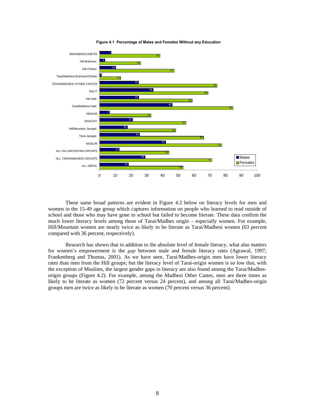

**Figure 4.1 Percentage of Males and Females Without any Education**

These same broad patterns are evident in Figure 4.2 below on literacy levels for men and women in the 15-49 age group which captures information on people who learned to read outside of school and those who may have gone to school but failed to become literate. These data confirm the much lower literacy levels among those of Tarai/Madhes origin – especially women. For example, Hill/Mountain women are nearly twice as likely to be literate as Tarai/Madhesi women (63 percent compared with 36 percent, respectively).

Research has shown that in addition to the absolute level of female literacy, what also matters for women's empowerment is the *gap* between male and female literacy rates (Agrawal, 1997; Frankenberg and Thomas, 2001). As we have seen, Tarai/Madhes-origin men have lower literacy rates than men from the Hill groups; but the literacy level of Tarai-origin women is so low that, with the exception of Muslims, the largest gender gaps in literacy are also found among the Tarai/Madhesorigin groups (Figure 4.2). For example, among the Madhesi Other Castes, men are three times as likely to be literate as women (72 percent versus 24 percent), and among all Tarai/Madhes-origin groups men are twice as likely to be literate as women (70 percent versus 36 percent).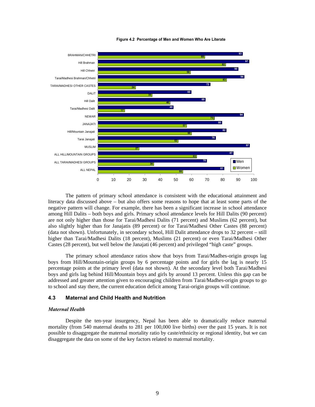

**Figure 4.2 Percentage of Men and Women Who Are Literate**

The pattern of primary school attendance is consistent with the educational attainment and literacy data discussed above – but also offers some reasons to hope that at least some parts of the negative pattern will change. For example, there has been a significant increase in school attendance among Hill Dalits – both boys and girls. Primary school attendance levels for Hill Dalits (90 percent) are not only higher than those for Tarai/Madhesi Dalits (71 percent) and Muslims (62 percent), but also slightly higher than for Janajatis (89 percent) or for Tarai/Madhesi Other Castes (88 percent) (data not shown). Unfortunately, in secondary school, Hill Dalit attendance drops to 32 percent – still higher than Tarai/Madhesi Dalits (18 percent), Muslims (21 percent) or even Tarai/Madhesi Other Castes (28 percent), but well below the Janajati (46 percent) and privileged "high caste" groups.

The primary school attendance ratios show that boys from Tarai/Madhes-origin groups lag boys from Hill/Mountain-origin groups by 6 percentage points and for girls the lag is nearly 15 percentage points at the primary level (data not shown). At the secondary level both Tarai/Madhesi boys and girls lag behind Hill/Mountain boys and girls by around 13 percent. Unless this gap can be addressed and greater attention given to encouraging children from Tarai/Madhes-origin groups to go to school and stay there, the current education deficit among Tarai-origin groups will continue.

## **4.3 Maternal and Child Health and Nutrition**

#### *Maternal Health*

Despite the ten-year insurgency, Nepal has been able to dramatically reduce maternal mortality (from 540 maternal deaths to 281 per 100,000 live births) over the past 15 years. It is not possible to disaggregate the maternal mortality ratio by caste/ethnicity or regional identity, but we can disaggregate the data on some of the key factors related to maternal mortality.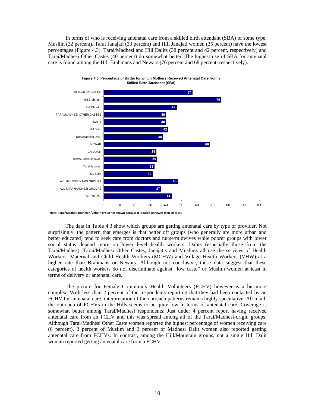In terms of who is receiving antenatal care from a skilled birth attendant (SBA) of some type, Muslim (32 percent), Tarai Janajati (33 percent) and Hill Janajati women (35 percent) have the lowest percentages (Figure 4.3). Tarai/Madhesi and Hill Dalits (38 percent and 42 percent, respectively) and Tarai/Madhesi Other Castes (40 percent) do somewhat better. The highest use of SBA for antenatal care is found among the Hill Brahmans and Newars (76 percent and 68 percent, respectively).



**Figure 4.3 Percentage of Births for which Mothers Received Antenatal Care from a Skilled Birth Attendant (SBA)**

The data in Table 4.3 show which groups are getting antenatal care by type of provider. Not surprisingly, the pattern that emerges is that better off groups (who generally are more urban and better educated) tend to seek care from doctors and nurse/midwives while poorer groups with lower social status depend more on lower level health workers. Dalits (especially those from the Tarai/Madhes), Tarai/Madhesi Other Castes, Janajatis and Muslims all use the services of Health Workers, Maternal and Child Health Workers (MCHW) and Village Health Workers (VHW) at a higher rate than Brahmans or Newars. Although not conclusive, these data suggest that these categories of health workers do not discriminate against "low caste" or Muslim women at least in terms of delivery or antenatal care.

The picture for Female Community Health Volunteers (FCHV) however is a bit more complex. With less than 2 percent of the respondents reporting that they had been contacted by an FCHV for antenatal care, interpretation of the outreach patterns remains highly speculative. All in all, the outreach of FCHVs in the Hills seems to be quite low in terms of antenatal care. Coverage is somewhat better among Tarai/Madhesi respondents: Just under 4 percent report having received antenatal care from an FCHV and this was spread among all of the Tarai/Madhesi-origin groups. Although Tarai/Madhesi Other Caste women reported the highest percentage of women receiving care (6 percent), 3 percent of Muslim and 3 percent of Madhesi Dalit women also reported getting antenatal care from FCHVs. In contrast, among the Hill/Mountain groups, not a single Hill Dalit woman reported getting antenatal care from a FCHV.

**Note: Tarai/Madhesi Brahman/Chhetri group not shown because it is based on fewer than 50 cases**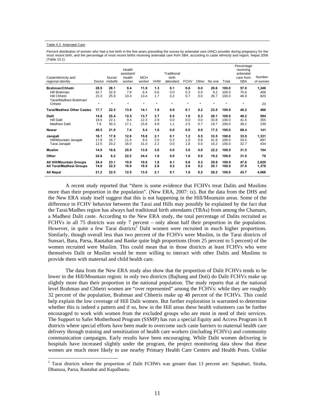#### Table 4.3 Antenatal Care

Percent distribution of women who had a live birth in the five years preceding the survey by antenatal care (ANC) provider during pregnancy for the most recent birth, and the percentage of most recent births receiving antenatal care from SBA, according to caste ethnicity and region, Nepal 2006 (Table 10.1)

| Caste/ethnicity and<br>regional identity             | Doctor               | Nurse/<br>midwife    | Health<br>assistant/<br>health<br>worker | <b>MCH</b><br>worker | <b>VHW</b>        | Traditional<br>birth<br>attendant | <b>FCHV</b>       | Other             | No one               | Total                   | Percentage<br>receiving<br>antenatal<br>care from<br><b>SBA</b> | Number<br>of women  |
|------------------------------------------------------|----------------------|----------------------|------------------------------------------|----------------------|-------------------|-----------------------------------|-------------------|-------------------|----------------------|-------------------------|-----------------------------------------------------------------|---------------------|
| <b>Brahman/Chhetri</b>                               | 28.9                 | 28.1                 | 9.4                                      | 11.0                 | 1.3               | 0.1                               | 0.6               | 0.0               | 20.6                 | 100.0                   | 57.0                                                            | 1,249               |
| Hill Brahman<br><b>Hill Chhetri</b>                  | 42.7<br>21.0         | 32.9<br>25.9         | 7.9<br>10.4                              | 6.4<br>13.4          | 0.6<br>1.7        | 0.0<br>0.2                        | 0.3<br>0.7        | 0.0<br>0.0        | 9.2<br>26.7          | 100.0<br>100.0          | 75.6<br>46.9                                                    | 406<br>820          |
| Tarai/Madhesi Brahman/<br>Chhetri                    | $^\star$             | $\star$              | $\star$                                  | $\star$              | $\star$           | $^\star$                          | $\star$           | $^\star$          | $\star$              | $\star$                 | $\star$                                                         | 23                  |
| <b>Tarai/Madhesi Other Castes</b>                    | 17.7                 | 22.5                 | 13.8                                     | 14.1                 | 1.9               | 0.0                               | 6.1               | 0.2               | 23.5                 | 100.0                   | 40.2                                                            | 486                 |
| <b>Dalit</b><br><b>Hill Dalit</b><br>Madhesi Dalit   | 14.8<br>19.5<br>7.9  | 25.4<br>22.1<br>30.3 | 12.5<br>9.4<br>17.1                      | 13.7<br>12.3<br>15.8 | 3.7<br>2.9<br>4.9 | 0.5<br>0.0<br>1.1                 | 1.0<br>0.0<br>2.5 | 0.3<br>0.0<br>0.7 | 28.1<br>33.8<br>19.7 | 100.0<br>100.0<br>100.0 | 40.2<br>41.6<br>38.2                                            | 594<br>355<br>239   |
| Newar                                                | 46.5                 | 21.9                 | 7.4                                      | 5.4                  | 1.6               | 0.0                               | 0.0               | 0.0               | 17.2                 | 100.0                   | 68.4                                                            | 141                 |
| Janajati<br>Hill/Mountain Janajati<br>Tarai Janajati | 16.1<br>17.8<br>12.5 | 17.9<br>16.7<br>20.2 | 12.9<br>11.4<br>16.0                     | 15.8<br>8.4<br>31.0  | 2.1<br>2.0<br>2.2 | 0.1<br>0.2<br>0.0                 | 1.2<br>1.0<br>1.8 | 0.5<br>0.8<br>0.0 | 33.5<br>41.8<br>16.2 | 100.0<br>100.0<br>100.0 | 33.9<br>34.5<br>32.7                                            | 1,331<br>897<br>434 |
| <b>Muslim</b>                                        | 14.9                 | 16.6                 | 25.9                                     | 13.8                 | 3.6               | 0.0                               | 3.0               | 0.0               | 22.2                 | 100.0                   | 31.5                                                            | 194                 |
| Other                                                | 24.8                 | 6.2                  | 22.2                                     | 24.4                 | 1.6               | 0.0                               | 1.6               | 0.0               | 19.2                 | 100.0                   | 31.0                                                            | 70                  |
| All Hill/Mountain Groups<br>All Tarai/Madhesi Groups | 24.4<br>14.8         | 23.1<br>22.2         | 10.0<br>16.6                             | 10.0<br>19.5         | 1.8<br>2.8        | 0.1<br>0.2                        | 0.6<br>3.6        | 0.3<br>0.2        | 29.6<br>20.1         | 100.0<br>100.0          | 47.6<br>37.0                                                    | 2,620<br>1,376      |
| <b>All Nepal</b>                                     | 21.2                 | 22.5                 | 12.5                                     | 13.5                 | 2.1               | 0.1                               | 1.6               | 0.2               | 26.2                 | 100.0                   | 43.7                                                            | 4,066               |

A recent study reported that "there is some evidence that FCHVs treat Dalits and Muslims more than their proportion in the population". (New ERA, 2007: ix). But the data from the DHS and the New ERA study itself suggest that this is not happening in the Hill/Mountain areas. Some of the difference in FCHV behavior between the Tarai and Hills may possibly be explained by the fact that the Tarai/Madhes region has always had traditional birth attendants (TBAs) from among the Chamars, a Madhesi Dalit caste. According to the New ERA study, the total percentage of Dalits recruited as FCHVs in all 75 districts was only 7 percent – only about half their proportion in the population. However, in quite a few Tarai districts<sup>5</sup> Dalit women were recruited in much higher proportions. Similarly, though overall less than two percent of the FCHVs were Muslim, in the Tarai districts of Sunsari, Bara, Parsa, Rautahat and Banke quite high proportions (from 25 percent to 5 percent) of the women recruited were Muslim. This could mean that in those districts at least FCHVs who were themselves Dalit or Muslim would be more willing to interact with other Dalits and Muslims to provide them with maternal and child health care.

The data from the New ERA study also show that the proportion of Dalit FCHVs tends to be lower in the Hill/Mountain region: in only two districts (Bajhang and Doti) do Dalit FCHVs make up slightly more than their proportion in the national population. The study reports that at the national level Brahman and Chhetri women are "over represented" among the FCHVs: while they are roughly 32 percent of the population, Brahman and Chhetris make up 48 percent of the FCHVs. This could help explain the low coverage of Hill Dalit women. But further exploration is warranted to determine whether this is indeed a pattern and if so, how in the Hill areas these health volunteers can be further encouraged to work with women from the excluded groups who are most in need of their services. The Support to Safer Motherhood Program (SSMP) has run a special Equity and Access Program in 8 districts where special efforts have been made to overcome such caste barriers to maternal health care delivery through training and sensitization of health care workers (including FCHVs) and community communication campaigns. Early results have been encouraging. While Dalit women delivering in hospitals have increased slightly under the program, the project monitoring data show that these women are much more likely to use nearby Primary Health Care Centers and Health Posts. Unlike

<sup>&</sup>lt;sup>5</sup> Tarai districts where the proportion of Dalit FCHWs was greater than 13 percent are: Saptahari, Siraha, Dhanusa, Parsa, Rautahat and Kapalbastu.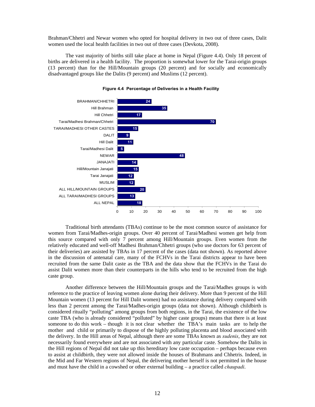Brahman/Chhetri and Newar women who opted for hospital delivery in two out of three cases, Dalit women used the local health facilities in two out of three cases (Devkota, 2008).

The vast majority of births still take place at home in Nepal (Figure 4.4). Only 18 percent of births are delivered in a health facility. The proportion is somewhat lower for the Tarai-origin groups (13 percent) than for the Hill/Mountain groups (20 percent) and for socially and economically disadvantaged groups like the Dalits (9 percent) and Muslims (12 percent).



**Figure 4.4 Percentage of Deliveries in a Health Facility**

Traditional birth attendants (TBAs) continue to be the most common source of assistance for women from Tarai/Madhes-origin groups. Over 40 percent of Tarai/Madhesi women get help from this source compared with only 7 percent among Hill/Mountain groups. Even women from the relatively educated and well-off Madhesi Brahman/Chhetri groups (who use doctors for 63 percent of their deliveries) are assisted by TBAs in 17 percent of the cases (data not shown). As reported above in the discussion of antenatal care, many of the FCHVs in the Tarai districts appear to have been recruited from the same Dalit caste as the TBA and the data show that the FCHVs in the Tarai do assist Dalit women more than their counterparts in the hills who tend to be recruited from the high caste group.

Another difference between the Hill/Mountain groups and the Tarai/Madhes groups is with reference to the practice of leaving women alone during their delivery. More than 9 percent of the Hill Mountain women (13 percent for Hill Dalit women) had no assistance during delivery compared with less than 2 percent among the Tarai/Madhes-origin groups (data not shown). Although childbirth is considered ritually "polluting" among groups from both regions, in the Tarai, the existence of the low caste TBA (who is already considered "polluted" by higher caste groups) means that there is at least someone to do this work – though it is not clear whether the TBA's main tasks are to help the mother and child or primarily to dispose of the highly polluting placenta and blood associated with the delivery. In the Hill areas of Nepal, although there are some TBAs known as *sudenis*, they are not necessarily found everywhere and are not associated with any particular caste. Somehow the Dalits in the Hill regions of Nepal did not take up this hereditary low caste occupation – perhaps because even to assist at childbirth, they were not allowed inside the houses of Brahmans and Chhetris. Indeed, in the Mid and Far Western regions of Nepal, the delivering mother herself is not permitted in the house and must have the child in a cowshed or other external building – a practice called *chaupadi*.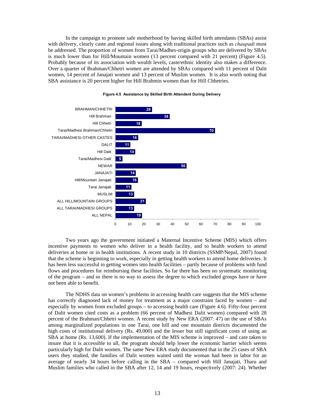In the campaign to promote safe motherhood by having skilled birth attendants (SBAs) assist with delivery, clearly caste and regional issues along with traditional practices such as *chaupadi* must be addressed. The proportion of women from Tarai/Madhes-origin groups who are delivered by SBAs is much lower than for Hill/Mountain women (13 percent compared with 21 percent) (Figure 4.5). Probably because of its association with wealth levels, caste/ethnic identity also makes a difference. Over a quarter of Brahman/Chhetri women are attended by SBAs compared with 11 percent of Dalit women, 14 percent of Janajati women and 13 percent of Muslim women. It is also worth noting that SBA assistance is 20 percent higher for Hill Brahmin women than for Hill Chhetries.



#### **Figure 4.5 Assistance by Skilled Birth Attendent During Delivery**

Two years ago the government initiated a Maternal Incentive Scheme (MIS) which offers incentive payments to women who deliver in a health facility, and to health workers to attend deliveries at home or in health institutions. A recent study in 10 districts (SSMP/Nepal, 2007) found that the scheme is beginning to work, especially in getting health workers to attend home deliveries. It has been less successful in getting women into health facilities – partly because of problems with fund flows and procedures for reimbursing these facilities. So far there has been no systematic monitoring of the program – and so there is no way to assess the degree to which excluded groups have or have not been able to benefit.

The NDHS data on women's problems in accessing health care suggests that the MIS scheme has correctly diagnosed lack of money for treatment as a major constraint faced by women – and especially by women from excluded groups – to accessing health care (Figure 4.6). Fifty-four percent of Dalit women cited costs as a problem (66 percent of Madhesi Dalit women) compared with 28 percent of the Brahman/Chhetri women. A recent study by New ERA (2007: 47) on the use of SBAs among marginalized populations in one Tarai, one hill and one mountain districts documented the high costs of institutional delivery (Rs. 49,000) and the lesser but still significant costs of using an SBA at home (Rs. 13,600). If the implementation of the MIS scheme is improved – and care taken to insure that it is accessible to all, the program should help lower the economic barrier which seems particularly high for Dalit women. The same New ERA study documented that in the 25 cases of SBA users they studied, the families of Dalit women waited until the woman had been in labor for an average of nearly 34 hours before calling in the SBA – compared with Hill Janajati, Tharu and Muslim families who called in the SBA after 12, 14 and 19 hours, respectively (2007: 24). Whether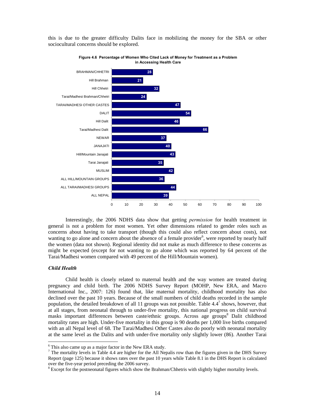

this is due to the greater difficulty Dalits face in mobilizing the money for the SBA or other sociocultural concerns should be explored.

Interestingly, the 2006 NDHS data show that getting *permission* for health treatment in general is not a problem for most women. Yet other dimensions related to gender roles such as concerns about having to take transport (though this could also reflect concern about costs), not wanting to go alone and concern about the absence of a female provider<sup>6</sup>, were reported by nearly half the women (data not shown). Regional identity did not make as much difference to these concerns as might be expected (except for not wanting to go alone which was reported by 64 percent of the Tarai/Madhesi women compared with 49 percent of the Hill/Mountain women).

#### *Child Health*

Child health is closely related to maternal health and the way women are treated during pregnancy and child birth. The 2006 NDHS Survey Report (MOHP, New ERA, and Macro International Inc., 2007: 126) found that, like maternal mortality, childhood mortality has also declined over the past 10 years. Because of the small numbers of child deaths recorded in the sample population, the detailed breakdown of all 11 groups was not possible. Table  $4.4^7$  shows, however, that at all stages, from neonatal through to under-five mortality, this national progress on child survival masks important differences between caste/ethnic groups. Across age groups<sup>8</sup> Dalit childhood mortality rates are high. Under-five mortality in this group is 90 deaths per 1,000 live births compared with an all Nepal level of 68. The Tarai/Madhesi Other Castes also do poorly with neonatal mortality at the same level as the Dalits and with under-five mortality only slightly lower (86). Another Tarai

 $6$  This also came up as a major factor in the New ERA study.

 $<sup>7</sup>$  The mortality levels in Table 4.4 are higher for the All Nepalis row than the figures given in the DHS Survey</sup> Report (page 125) because it shows rates over the past 10 years while Table 8.1 in the DHS Report is calculated over the five-year period preceding the 2006 survey.

<sup>&</sup>lt;sup>8</sup> Except for the postneonatal figures which show the Brahman/Chhetris with slightly higher mortality levels.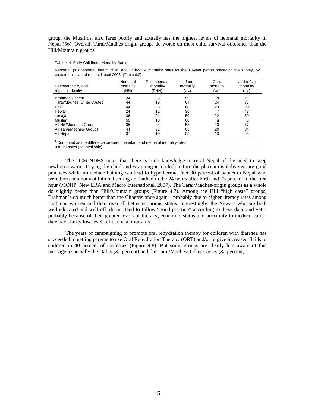group, the Muslims, also fares poorly and actually has the highest levels of neonatal mortality in Nepal (56). Overall, Tarai/Madhes-origin groups do worse on most child survival outcomes than the Hill/Mountain groups.

#### Table 4.4 Early Childhood Mortality Rates

Neonatal, postneonatal, infant, child, and under-five mortality rates for the 10-year period preceding the survey, by caste/ethnicity and region, Nepal 2006 (Table 8.2)

| Caste/ethnicity and<br>regional identity | Neonatal<br>mortality<br>(NN) | Post neonatal<br>mortality<br>(PNN) | Infant<br>mortality<br>$({}_{1}q_{0})$ | Child<br>mortality<br>( <sub>4</sub> q <sub>1</sub> ) | Under-five<br>mortality<br>( <sub>5</sub> q <sub>0</sub> ) |
|------------------------------------------|-------------------------------|-------------------------------------|----------------------------------------|-------------------------------------------------------|------------------------------------------------------------|
| Brahman/Chhetri                          | 34                            | 25                                  | 59                                     | 18                                                    | 76                                                         |
| Tarai/Madhesi Other Castes               | 44                            | 19                                  | 64                                     | 24                                                    | 86                                                         |
| Dalit                                    | 44                            | 25                                  | 68                                     | 23                                                    | 90                                                         |
| Newar                                    | 24                            | 12                                  | 36                                     |                                                       | 43                                                         |
| Janajati                                 | 36                            | 24                                  | 59                                     | 22                                                    | 80                                                         |
| <b>Muslim</b>                            | 56                            | 13                                  | 68                                     | u                                                     | u                                                          |
| All Hill/Mountain Groups                 | 35                            | 24                                  | 58                                     | 20                                                    | 77                                                         |
| All Tarai/Madhesi Groups                 | 44                            | 21                                  | 65                                     | 20                                                    | 84                                                         |
| All Nepal                                | 37                            | 19                                  | 55                                     | 13                                                    | 68                                                         |

 $1$  Computed as the difference between the infant and neonatal mortality rates

u = unknown (not available)

The 2006 NDHS notes that there is little knowledge in rural Nepal of the need to keep newborns warm. Drying the child and wrapping it in cloth before the placenta is delivered are good practices while immediate bathing can lead to hypothermia. Yet 90 percent of babies in Nepal who were born in a noninstitutional setting are bathed in the 24 hours after birth and 73 percent in the first hour (MOHP, New ERA and Macro International, 2007). The Tarai/Madhes-origin groups as a whole do slightly better than Hill/Mountain groups (Figure 4.7). Among the Hill "high caste" groups, Brahman's do much better than the Chhetris once again – probably due to higher literacy rates among Brahman women and their over all better economic status. Interestingly, the Newars who are both well educated and well off, do not tend to follow "good practice" according to these data, and yet probably because of their greater levels of literacy, economic status and proximity to medical care – they have fairly low levels of neonatal mortality.

The years of campaigning to promote oral rehydration therapy for children with diarrhea has succeeded in getting parents to use Oral Rehydration Therapy (ORT) and/or to give increased fluids to children in 40 percent of the cases (Figure 4.8). But some groups are clearly less aware of this message; especially the Dalits (31 percent) and the Tarai/Madhesi Other Castes (32 percent).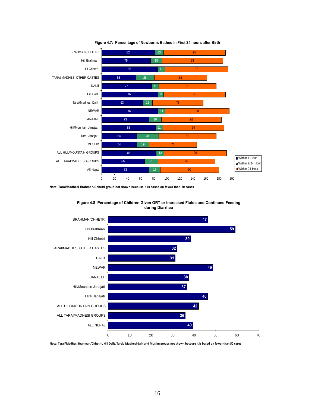



**Note: Tarai/Madhesi Brahman/Chhetri group not shown because it is based on fewer than 50 cases**



**Figure 4.8 Percentage of Children Given ORT or Increased Fluids and Continued Feeding during Diarrhea** 

Note: Tarai/Madhesi Brahman/Chhetri, Hill Dalit, Tarai/ Madhesi dalit and Muslim groups not shown because it is based on fewer than 50 cases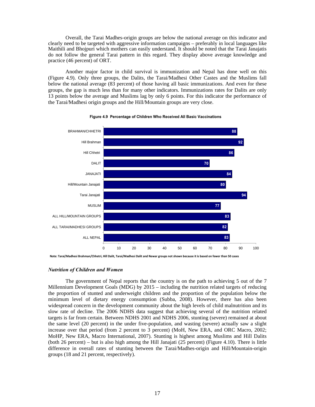Overall, the Tarai Madhes-origin groups are below the national average on this indicator and clearly need to be targeted with aggressive information campaigns – preferably in local languages like Maithili and Bhojpuri which mothers can easily understand. It should be noted that the Tarai Janajatis do not follow the general Tarai pattern in this regard. They display above average knowledge and practice (46 percent) of ORT.

Another major factor in child survival is immunization and Nepal has done well on this (Figure 4.9). Only three groups, the Dalits, the Tarai/Madhesi Other Castes and the Muslims fall below the national average (83 percent) of those having all basic immunizations. And even for these groups, the gap is much less than for many other indicators. Immunizations rates for Dalits are only 13 points below the average and Muslims lag by only 6 points. For this indicator the performance of the Tarai/Madhesi origin groups and the Hill/Mountain groups are very close.



**Figure 4.9 Percentage of Children Who Received All Basic Vaccinations**

# *Nutrition of Children and Women*

The government of Nepal reports that the country is on the path to achieving 5 out of the 7 Millennium Development Goals (MDG) by 2015 – including the nutrition related targets of reducing the proportion of stunted and underweight children and the proportion of the population below the minimum level of dietary energy consumption (Subba, 2008). However, there has also been widespread concern in the development community about the high levels of child malnutrition and its slow rate of decline. The 2006 NDHS data suggest that achieving several of the nutrition related targets is far from certain. Between NDHS 2001 and NDHS 2006, stunting (severe) remained at about the same level (20 percent) in the under five-population, and wasting (severe) actually saw a slight increase over that period (from 2 percent to 3 percent) (MoH, New ERA, and ORC Macro, 2002; MoHP, New ERA, Macro International, 2007). Stunting is highest among Muslims and Hill Dalits (both 26 percent) – but is also high among the Hill Janajati (25 percent) (Figure 4.10). There is little difference in overall rates of stunting between the Tarai/Madhes-origin and Hill/Mountain-origin groups (18 and 21 percent, respectively).

Note: Tarai/Madhesi Brahman/Chhetri, Hill Dalit, Tarai/Madhesi Dalit and Newar groups not shown because it is based on fewer than 50 cases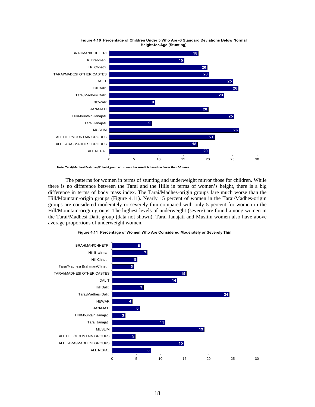



**Note: Tarai/Madhesi Brahman/Chhetri group not shown because it is based on fewer than 50 cases**

The patterns for women in terms of stunting and underweight mirror those for children. While there is no difference between the Tarai and the Hills in terms of women's height, there is a big difference in terms of body mass index. The Tarai/Madhes-origin groups fare much worse than the Hill/Mountain-origin groups (Figure 4.11). Nearly 15 percent of women in the Tarai/Madhes-origin groups are considered moderately or severely thin compared with only 5 percent for women in the Hill/Mountain-origin groups. The highest levels of underweight (severe) are found among women in the Tarai/Madhesi Dalit group (data not shown). Tarai Janajati and Muslim women also have above average proportions of underweight women.



**Figure 4.11 Percentage of Women Who Are Considered Moderately or Severely Thin**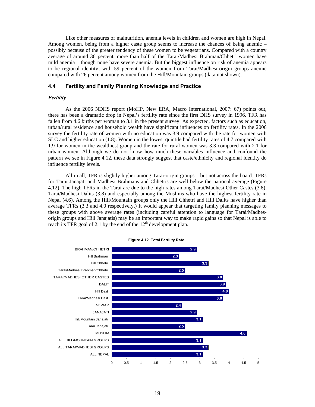Like other measures of malnutrition, anemia levels in children and women are high in Nepal. Among women, being from a higher caste group seems to increase the chances of being anemic – possibly because of the greater tendency of these women to be vegetarians. Compared with a country average of around 36 percent, more than half of the Tarai/Madhesi Brahman/Chhetri women have mild anemia – though none have severe anemia. But the biggest influence on risk of anemia appears to be regional identity; with 59 percent of the women from Tarai/Madhesi-origin groups anemic compared with 26 percent among women from the Hill/Mountain groups (data not shown).

# **4.4 Fertility and Family Planning Knowledge and Practice**

#### *Fertility*

As the 2006 NDHS report (MoHP, New ERA, Macro International, 2007: 67) points out, there has been a dramatic drop in Nepal's fertility rate since the first DHS survey in 1996. TFR has fallen from 4.6 births per woman to 3.1 in the present survey. As expected, factors such as education, urban/rural residence and household wealth have significant influences on fertility rates. In the 2006 survey the fertility rate of women with no education was 3.9 compared with the rate for women with SLC and higher education (1.8). Women in the lowest quintile had fertility rates of 4.7 compared with 1.9 for women in the wealthiest group and the rate for rural women was 3.3 compared with 2.1 for urban women. Although we do not know how much these variables influence and confound the pattern we see in Figure 4.12, these data strongly suggest that caste/ethnicity and regional identity do influence fertility levels.

All in all, TFR is slightly higher among Tarai-origin groups – but not across the board. TFRs for Tarai Janajati and Madhesi Brahmans and Chhetris are well below the national average (Figure 4.12). The high TFRs in the Tarai are due to the high rates among Tarai/Madhesi Other Castes (3.8), Tarai/Madhesi Dalits (3.8) and especially among the Muslims who have the highest fertility rate in Nepal (4.6). Among the Hill/Mountain groups only the Hill Chhetri and Hill Dalits have higher than average TFRs (3.3 and 4.0 respectively.) It would appear that targeting family planning messages to these groups with above average rates (including careful attention to language for Tarai/Madhesorigin groups and Hill Janajatis) may be an important way to make rapid gains so that Nepal is able to reach its TFR goal of 2.1 by the end of the  $12<sup>th</sup>$  development plan.

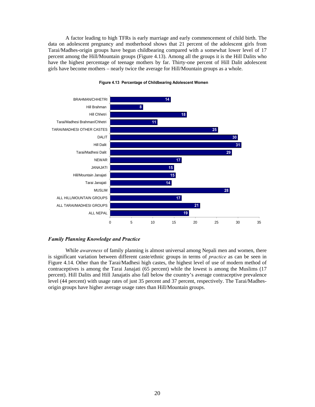A factor leading to high TFRs is early marriage and early commencement of child birth. The data on adolescent pregnancy and motherhood shows that 21 percent of the adolescent girls from Tarai/Madhes-origin groups have begun childbearing compared with a somewhat lower level of 17 percent among the Hill/Mountain groups (Figure 4.13). Among all the groups it is the Hill Dalits who have the highest percentage of teenage mothers by far. Thirty-one percent of Hill Dalit adolescent girls have become mothers – nearly twice the average for Hill/Mountain groups as a whole.



## **Figure 4.13 Percentage of Childbearing Adolescent Women**

# *Family Planning Knowledge and Practice*

While *awareness* of family planning is almost universal among Nepali men and women, there is significant variation between different caste/ethnic groups in terms of *practice* as can be seen in Figure 4.14. Other than the Tarai/Madhesi high castes, the highest level of use of modern method of contraceptives is among the Tarai Janajati (65 percent) while the lowest is among the Muslims (17 percent). Hill Dalits and Hill Janajatis also fall below the country's average contraceptive prevalence level (44 percent) with usage rates of just 35 percent and 37 percent, respectively. The Tarai/Madhesorigin groups have higher average usage rates than Hill/Mountain groups.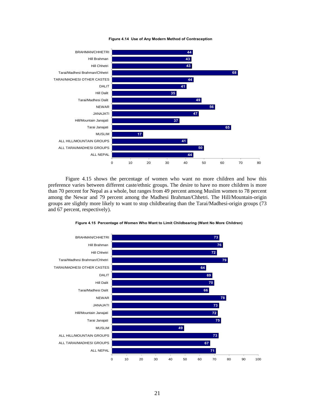

**Figure 4.14 Use of Any Modern Method of Contraception**

Figure 4.15 shows the percentage of women who want no more children and how this preference varies between different caste/ethnic groups. The desire to have no more children is more than 70 percent for Nepal as a whole, but ranges from 49 percent among Muslim women to 78 percent among the Newar and 79 percent among the Madhesi Brahman/Chhetri. The Hill/Mountain-origin groups are slightly more likely to want to stop childbearing than the Tarai/Madhesi-origin groups (73 and 67 percent, respectively).



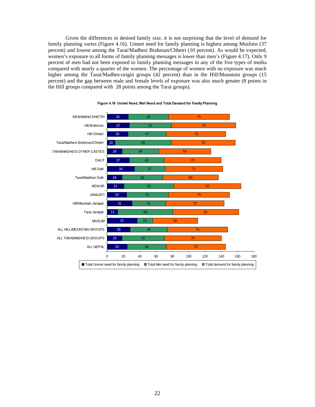Given the differences in desired family size, it is not surprising that the level of demand for family planning varies (Figure 4.16). Unmet need for family planning is highest among Muslims (37 percent) and lowest among the Tarai/Madhesi Brahman/Chhetri (10 percent). As would be expected, women's exposure to all forms of family planning messages is lower than men's (Figure 4.17). Only 9 percent of men had not been exposed to family planning messages in any of the five types of media compared with nearly a quarter of the women. The percentage of women with no exposure was much higher among the Tarai/Madhes-origin groups (42 percent) than in the Hill/Mountain groups (15 percent) and the gap between male and female levels of exposure was also much greater (8 points in the Hill groups compared with 28 points among the Tarai groups).



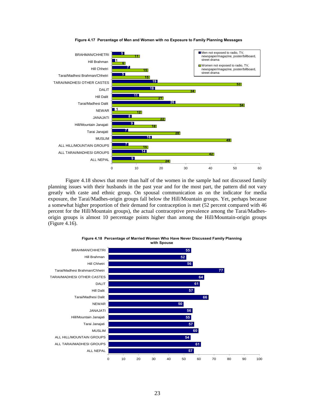

**Figure 4.17 Percentage of Men and Women with no Exposure to Family Planning Messages**

Figure 4.18 shows that more than half of the women in the sample had not discussed family planning issues with their husbands in the past year and for the most part, the pattern did not vary greatly with caste and ethnic group. On spousal communication as on the indicator for media exposure, the Tarai/Madhes-origin groups fall below the Hill/Mountain groups. Yet, perhaps because a somewhat higher proportion of their demand for contraception is met (52 percent compared with 46 percent for the Hill/Mountain groups), the actual contraceptive prevalence among the Tarai/Madhesorigin groups is almost 10 percentage points higher than among the Hill/Mountain-origin groups (Figure 4.16).



**Figure 4.18 Percentage of Married Women Who Have Never Discussed Family Planning with Spouse**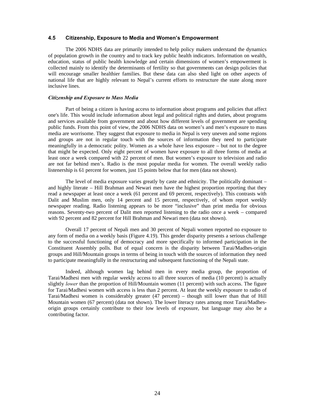## **4.5 Citizenship, Exposure to Media and Women's Empowerment**

The 2006 NDHS data are primarily intended to help policy makers understand the dynamics of population growth in the country and to track key public health indicators. Information on wealth, education, status of public health knowledge and certain dimensions of women's empowerment is collected mainly to identify the determinants of fertility so that governments can design policies that will encourage smaller healthier families. But these data can also shed light on other aspects of national life that are highly relevant to Nepal's current efforts to restructure the state along more inclusive lines.

#### *Citizenship and Exposure to Mass Media*

Part of being a citizen is having access to information about programs and policies that affect one's life. This would include information about legal and political rights and duties, about programs and services available from government and about how different levels of government are spending public funds. From this point of view, the 2006 NDHS data on women's and men's exposure to mass media are worrisome. They suggest that exposure to media in Nepal is very uneven and some regions and groups are not in regular touch with the sources of information they need to participate meaningfully in a democratic polity. Women as a whole have less exposure – but not to the degree that might be expected. Only eight percent of women have exposure to all three forms of media at least once a week compared with 22 percent of men. But women's exposure to television and radio are not far behind men's. Radio is the most popular media for women. The overall weekly radio listenership is 61 percent for women, just 15 points below that for men (data not shown).

The level of media exposure varies greatly by caste and ethnicity. The politically dominant – and highly literate – Hill Brahman and Newari men have the highest proportion reporting that they read a newspaper at least once a week (61 percent and 69 percent, respectively). This contrasts with Dalit and Muslim men, only 14 percent and 15 percent, respectively, of whom report weekly newspaper reading. Radio listening appears to be more "inclusive" than print media for obvious reasons. Seventy-two percent of Dalit men reported listening to the radio once a week – compared with 92 percent and 82 percent for Hill Brahman and Newari men (data not shown).

Overall 17 percent of Nepali men and 30 percent of Nepali women reported no exposure to any form of media on a weekly basis (Figure 4.19). This gender disparity presents a serious challenge to the successful functioning of democracy and more specifically to informed participation in the Constituent Assembly polls. But of equal concern is the disparity between Tarai/Madhes-origin groups and Hill/Mountain groups in terms of being in touch with the sources of information they need to participate meaningfully in the restructuring and subsequent functioning of the Nepali state.

Indeed, although women lag behind men in every media group, the proportion of Tarai/Madhesi men with regular weekly access to all three sources of media (10 percent) is actually slightly *lower* than the proportion of Hill/Mountain women (11 percent) with such access. The figure for Tarai/Madhesi women with access is less than 2 percent. At least the weekly exposure to radio of Tarai/Madhesi women is considerably greater (47 percent) – though still lower than that of Hill Mountain women (67 percent) (data not shown). The lower literacy rates among most Tarai/Madhesorigin groups certainly contribute to their low levels of exposure, but language may also be a contributing factor.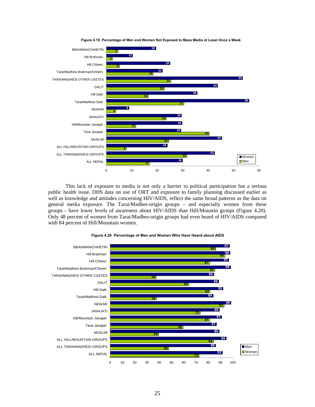

**Figure 4.19 Percentage of Men and Women Not Exposed to Mass Media at Least Once a Week**

This lack of exposure to media is not only a barrier to political participation but a serious public health issue. DHS data on use of ORT and exposure to family planning discussed earlier as well as knowledge and attitudes concerning HIV/AIDS, reflect the same broad patterns as the data on general media exposure. The Tarai/Madhes-origin groups – and especially women from these groups – have lower levels of awareness about HIV/AIDS than Hill/Mountin groups (Figure 4.20). Only 48 percent of women from Tarai/Madhes-origin groups had even heard of HIV/AIDS compared with 84 percent of Hill/Mountain women.



#### **Figure 4.20 Percentage of Men and Women Who Have Heard about AIDS**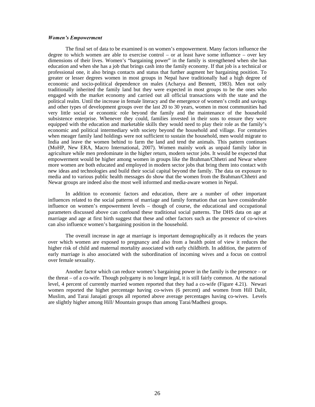#### *Women's Empowerment*

The final set of data to be examined is on women's empowerment. Many factors influence the degree to which women are able to exercise control – or at least have some influence – over key dimensions of their lives. Women's "bargaining power" in the family is strengthened when she has education and when she has a job that brings cash into the family economy. If that job is a technical or professional one, it also brings contacts and status that further augment her bargaining position. To greater or lesser degrees women in most groups in Nepal have traditionally had a high degree of economic and socio-political dependence on males (Acharya and Bennett, 1983). Men not only traditionally inherited the family land but they were expected in most groups to be the ones who engaged with the market economy and carried out all official transactions with the state and the political realm. Until the increase in female literacy and the emergence of women's credit and savings and other types of development groups over the last 20 to 30 years, women in most communities had very little social or economic role beyond the family and the maintenance of the household subsistence enterprise. Whenever they could, families invested in their sons to ensure they were equipped with the education and marketable skills they would need to play their role as the family's economic and political intermediary with society beyond the household and village. For centuries when meager family land holdings were not sufficient to sustain the household, men would migrate to India and leave the women behind to farm the land and tend the animals. This pattern continues (MoHP, New ERA, Macro International, 2007). Women mainly work as unpaid family labor in agriculture while men predominate in the higher return, modern sector jobs. It would be expected that empowerment would be higher among women in groups like the Brahman/Chhetri and Newar where more women are both educated and employed in modern sector jobs that bring them into contact with new ideas and technologies and build their social capital beyond the family. The data on exposure to media and to various public health messages do show that the women from the Brahman/Chhetri and Newar groups are indeed also the most well informed and media-aware women in Nepal.

In addition to economic factors and education, there are a number of other important influences related to the social patterns of marriage and family formation that can have considerable influence on women's empowerment levels – though of course, the educational and occupational parameters discussed above can confound these traditional social patterns. The DHS data on age at marriage and age at first birth suggest that these and other factors such as the presence of co-wives can also influence women's bargaining position in the household.

The overall increase in age at marriage is important demographically as it reduces the years over which women are exposed to pregnancy and also from a health point of view it reduces the higher risk of child and maternal mortality associated with early childbirth. In addition, the pattern of early marriage is also associated with the subordination of incoming wives and a focus on control over female sexuality.

Another factor which can reduce women's bargaining power in the family is the presence – or the threat – of a co-wife. Though polygamy is no longer legal, it is still fairly common. At the national level, 4 percent of currently married women reported that they had a co-wife (Figure 4.21). Newari women reported the highet percentage having co-wives (6 percent) and women from Hill Dalit, Muslim, and Tarai Janajati groups all reported above average percentages having co-wives. Levels are slightly higher among Hill/ Mountain groups than among Tarai/Madhesi groups.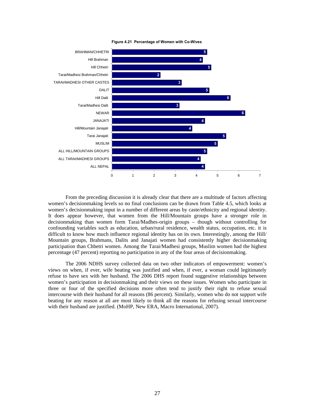

**Figure 4.21 Percentage of Women with Co-Wives**

From the preceding discussion it is already clear that there are a multitude of factors affecting women's decisionmaking levels so no final conclusions can be drawn from Table 4.5, which looks at women's decisionmaking input in a number of different areas by caste/ethnicity and regional identity. It does appear however, that women from the Hill/Mountain groups have a stronger role in decisionmaking than women form Tarai/Madhes-origin groups – though without controlling for confounding variables such as education, urban/rural residence, wealth status, occupation, etc. it is difficult to know how much influence regional identity has on its own. Interestingly, among the Hill/ Mountain groups, Brahmans, Dalits and Janajati women had consistently higher decisionmaking participation than Chhetri women. Among the Tarai/Madhesi groups, Muslim women had the highest percentage (47 percent) reporting no participation in any of the four areas of decisionmaking.

The 2006 NDHS survey collected data on two other indicators of empowerment: women's views on when, if ever, wife beating was justified and when, if ever, a woman could legitimately refuse to have sex with her husband. The 2006 DHS report found suggestive relationships between women's participation in decisionmaking and their views on these issues. Women who participate in three or four of the specified decisions more often tend to justify their right to refuse sexual intercourse with their husband for all reasons (86 percent). Similarly, women who do not support wife beating for any reason at all are most likely to think all the reasons for refusing sexual intercourse with their husband are justified. (MoHP, New ERA, Macro International, 2007).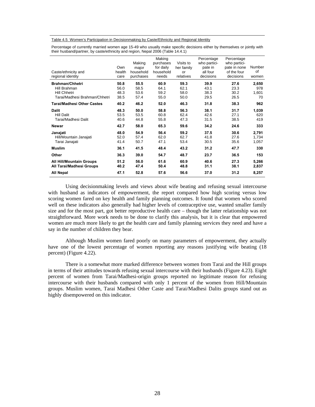#### Table 4.5 Women's Participation in Decisionmaking by Caste/Ethnicity and Regional Identity

Percentage of currently married women age 15-49 who usually make specific decisions either by themselves or jointly with their husband/partner, by caste/ethnicity and region, Nepal 2006 (Table 14.4.1)

| Caste/ethnicity and<br>regional identity                                                       | Own<br>health<br>care        | Making<br>major<br>household<br>purchases | Making<br>purchases<br>for daily<br>household<br>needs | Visits to<br>her family<br>or<br>relatives | Percentage<br>who partici-<br>pate in<br>all four<br>decisions | Percentage<br>who partici-<br>pate in none<br>of the four<br>decisions | <b>Number</b><br>0f<br>women |
|------------------------------------------------------------------------------------------------|------------------------------|-------------------------------------------|--------------------------------------------------------|--------------------------------------------|----------------------------------------------------------------|------------------------------------------------------------------------|------------------------------|
| <b>Brahman/Chhetri</b><br>Hill Brahman<br><b>Hill Chhetri</b><br>Tarai/Madhesi Brahman/Chhetri | 50.8<br>56.0<br>48.3<br>38.5 | 55.5<br>58.5<br>53.6<br>57.4              | 60.9<br>64.1<br>59.2<br>55.0                           | 59.3<br>62.1<br>58.0<br>50.0               | 39.9<br>43.1<br>38.3<br>29.5                                   | 27.6<br>23.3<br>30.2<br>26.5                                           | 2,650<br>978<br>1,601<br>70  |
| Tarai/Madhesi Other Castes                                                                     | 40.2                         | 46.2                                      | 52.0                                                   | 46.3                                       | 31.8                                                           | 38.3                                                                   | 962                          |
| <b>Dalit</b><br><b>Hill Dalit</b><br>Tarai/Madhesi Dalit                                       | 48.3<br>53.5<br>40.6         | 50.0<br>53.5<br>44.8                      | 58.8<br>60.8<br>55.8                                   | 56.3<br>62.4<br>47.3                       | 38.1<br>42.6<br>31.5                                           | 31.7<br>27.1<br>38.5                                                   | 1,039<br>620<br>419          |
| Newar                                                                                          | 42.7                         | 58.0                                      | 65.3                                                   | 59.6                                       | 34.2                                                           | 24.6                                                                   | 333                          |
| Janajati<br>Hill/Mountain Janajati<br>Tarai Janajati                                           | 48.0<br>52.0<br>41.4         | 54.9<br>57.4<br>50.7                      | 56.4<br>62.0<br>47.1                                   | 59.2<br>62.7<br>53.4                       | 37.5<br>41.8<br>30.5                                           | 30.6<br>27.6<br>35.6                                                   | 2,791<br>1,734<br>1,057      |
| <b>Muslim</b>                                                                                  | 36.1                         | 41.5                                      | 48.4                                                   | 43.2                                       | 31.2                                                           | 47.7                                                                   | 330                          |
| Other                                                                                          | 36.3                         | 39.0                                      | 54.7                                                   | 48.7                                       | 23.7                                                           | 36.5                                                                   | 153                          |
| All Hill/Mountain Groups<br>All Tarai/Madhesi Groups                                           | 51.2<br>40.2                 | 56.0<br>47.4                              | 61.6<br>50.4                                           | 60.9<br>48.8                               | 40.6<br>31.1                                                   | 27.3<br>38.1                                                           | 5,266<br>2,837               |
| <b>All Nepal</b>                                                                               | 47.1                         | 52.8                                      | 57.6                                                   | 56.6                                       | 37.0                                                           | 31.2                                                                   | 8,257                        |

Using decisionmaking levels and views about wife beating and refusing sexual intercourse with husband as indicators of empowerment, the report compared how high scoring versus low scoring women fared on key health and family planning outcomes. It found that women who scored well on these indicators also generally had higher levels of contraceptive use, wanted smaller family size and for the most part, got better reproductive health care – though the latter relationship was not straightforward. More work needs to be done to clarify this analysis, but it is clear that empowered women are much more likely to get the health care and family planning services they need and have a say in the number of children they bear.

Although Muslim women fared poorly on many parameters of empowerment, they actually have one of the lowest percentage of women reporting any reasons justifying wife beating (18 percent) (Figure 4.22).

There is a somewhat more marked difference between women from Tarai and the Hill groups in terms of their attitudes towards refusing sexual intercourse with their husbands (Figure 4.23). Eight percent of women from Tarai/Madhesi-origin groups reported no legitimate reason for refusing intercourse with their husbands compared with only 1 percent of the women from Hill/Mountain groups. Muslim women, Tarai Madhesi Other Caste and Tarai/Madhesi Dalits groups stand out as highly disempowered on this indicator.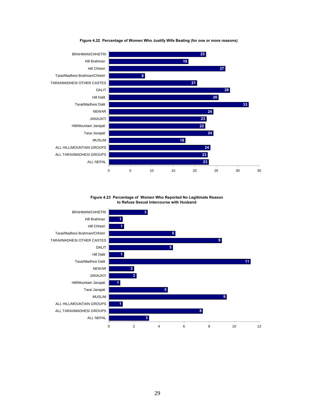

**Figure 4.22 Percentage of Women Who Justify Wife Beating (for one or more reasons)**

**Figure 4.23 Percentage of Women Who Reported No Legitimate Reason to Refuse Sexual Intercourse with Husband**

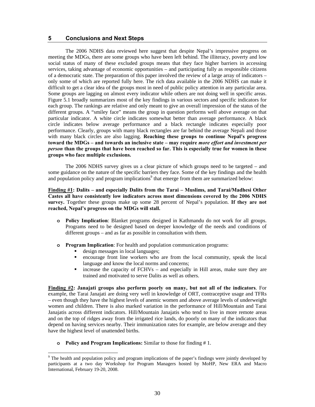# **5 Conclusions and Next Steps**

The 2006 NDHS data reviewed here suggest that despite Nepal's impressive progress on meeting the MDGs, there are some groups who have been left behind. The illiteracy, poverty and low social status of many of these excluded groups means that they face higher barriers in accessing services, taking advantage of economic opportunities – and participating fully as responsible citizens of a democratic state. The preparation of this paper involved the review of a large array of indicators – only some of which are reported fully here. The rich data available in the 2006 NDHS can make it difficult to get a clear idea of the groups most in need of public policy attention in any particular area. Some groups are lagging on almost every indicator while others are not doing well in specific areas. Figure 5.1 broadly summarizes most of the key findings in various sectors and specific indicators for each group. The rankings are relative and only meant to give an overall impression of the status of the different groups. A "smiley face" means the group in question performs well above average on that particular indicator. A white circle indicates somewhat better than average performance. A black circle indicates below average performance and a black rectangle indicates especially poor performance. Clearly, groups with many black rectangles are far behind the average Nepali and those with many black circles are also lagging. **Reaching these groups to continue Nepal's progress toward the MDGs – and towards an inclusive state – may require** *more effort and investment per person* **than the groups that have been reached so far. This is especially true for women in these groups who face multiple exclusions.** 

The 2006 NDHS survey gives us a clear picture of which groups need to be targeted – and some guidance on the nature of the specific barriers they face. Some of the key findings and the health and population policy and program implications<sup>9</sup> that emerge from them are summarized below:

# **Finding #1: Dalits – and especially Dalits from the Tarai – Muslims, and Tarai/Madhesi Other Castes all have consistently low indicators across most dimensions covered by the 2006 NDHS survey.** Together these groups make up some 28 percent of Nepal's population. **If they are not reached, Nepal's progress on the MDGs will stall.**

- **o Policy Implication**: Blanket programs designed in Kathmandu do not work for all groups. Programs need to be designed based on deeper knowledge of the needs and conditions of different groups – and as far as possible in consultation with them.
- **o Program Implication**: For health and population communication programs:
	- design messages in local languages;<br>encourage front line workers who
	- encourage front line workers who are from the local community, speak the local language and know the local norms and concerns;
	- $\blacksquare$  increase the capacity of FCHVs and especially in Hill areas, make sure they are trained and motivated to serve Dalits as well as others.

**Finding #2: Janajati groups also perform poorly on many, but not all of the indicators**. For example, the Tarai Janajati are doing very well in knowledge of ORT, contraceptive usage and TFRs – even though they have the highest levels of anemic women and above average levels of underweight women and children. There is also marked variation in the performance of Hill/Mountain and Tarai Janajatis across different indicators. Hill/Mountain Janajatis who tend to live in more remote areas and on the top of ridges away from the irrigated rice lands, do poorly on many of the indicators that depend on having services nearby. Their immunization rates for example, are below average and they have the highest level of unattended births.

**o Policy and Program Implications:** Similar to those for finding # 1.

<sup>&</sup>lt;sup>9</sup> The health and population policy and program implications of the paper's findings were jointly developed by participants at a two day Workshop for Program Managers hosted by MoHP, New ERA and Macro International, February 19-20, 2008.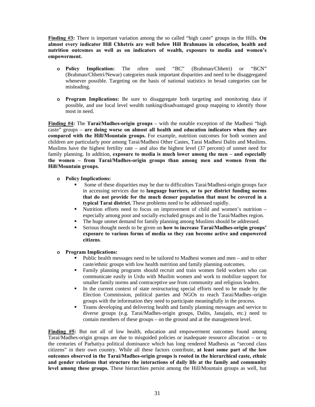**Finding #3:** There is important variation among the so called "high caste" groups in the Hills. **On almost every indicator Hill Chhetris are well below Hill Brahmans in education, health and nutrition outcomes as well as on indicators of wealth, exposure to media and women's empowerment.**

- **o Policy Implication:** The often used "BC" (Brahman/Chhetri) or "BCN" (Brahman/Chhetri/Newar) categories mask important disparities and need to be disaggregated whenever possible. Targeting on the basis of national statistics in broad categories can be misleading.
- **o Program Implications:** Be sure to disaggregate both targeting and monitoring data if possible, and use local level wealth ranking/disadvantaged group mapping to identify those most in need.

**Finding #4:** The **Tarai/Madhes-origin groups** – with the notable exception of the Madhesi "high caste" groups – **are doing worse on almost all health and education indicators when they are compared with the Hill/Mountain groups.** For example, nutrition outcomes for both women and children are particularly poor among Tarai/Madhesi Other Castes, Tarai Madhesi Dalits and Muslims. Muslims have the highest fertility rate – and also the highest level  $(37)$  percent) of unmet need for family planning. In addition, **exposure to media is much lower among the men – and especially the women – from Tarai/Madhes-origin groups than among men and women from the Hill/Mountain groups.** 

# **o Policy Implications:**

- Some of these disparities may be due to difficulties Tarai/Madhesi-origin groups face in accessing services due to **language barriers, or to per district funding norms that do not provide for the much denser population that must be covered in a typical Tarai district.** These problems need to be addressed rapidly.
- Nutrition efforts need to focus on improvement of child and women's nutrition especially among poor and socially excluded groups and in the Tarai/Madhes region.
- The huge unmet demand for family planning among Muslims should be addressed.
- Serious thought needs to be given on **how to increase Tarai/Madhes-origin groups' exposure to various forms of media so they can become active and empowered citizens**.

# **o Program Implications:**

- Public health messages need to be tailored to Madhesi women and men and to other caste/ethnic groups with low health nutrition and family planning outcomes.
- Family planning programs should recruit and train women field workers who can communicate easily in Urdu with Muslim women and work to mobilize support for smaller family norms and contraceptive use from community and religious leaders.
- In the current context of state restructuring special efforts need to be made by the Election Commission, political parties and NGOs to reach Tarai/Madhes–origin groups with the information they need to participate meaningfully in the process.
- Teams developing and delivering health and family planning messages and service to diverse groups (e.g. Tarai/Madhes-origin groups, Dalits, Janajatis, etc.) need to contain members of these groups – on the ground and at the management level.

**Finding #5:** But not all of low health, education and empowerment outcomes found among Tarai/Madhes-origin groups are due to misguided policies or inadequate resource allocation – or to the centuries of Parbatiya political dominance which has long rendered Madhesis as "second class citizens" in their own country. While all these factors contribute, **at least some part of the low outcomes observed in the Tarai/Madhes-origin groups is rooted in the hierarchical caste, ethnic and gender relations that structure the interactions of daily life at the family and community level among these groups.** These hierarchies persist among the Hill/Mountain groups as well, but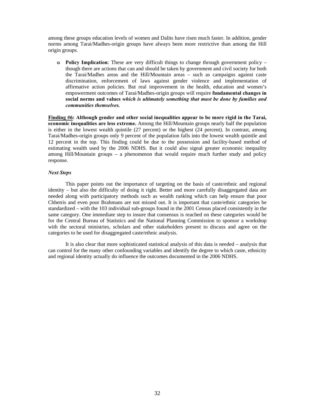among these groups education levels of women and Dalits have risen much faster. In addition, gender norms among Tarai/Madhes-origin groups have always been more restrictive than among the Hill origin groups.

**o Policy Implication**: These are very difficult things to change through government policy – though there are actions that can and should be taken by government and civil society for both the Tarai/Madhes areas and the Hill/Mountain areas – such as campaigns against caste discrimination, enforcement of laws against gender violence and implementation of affirmative action policies. But real improvement in the health, education and women's empowerment outcomes of Tarai/Madhes-origin groups will require **fundamental changes in social norms and values** *which is ultimately something that must be done by families and communities themselves.* 

**Finding #6: Although gender and other social inequalities appear to be more rigid in the Tarai, economic inequalities are less extreme.** Among the Hill/Mountain groups nearly half the population is either in the lowest wealth quintile (27 percent) or the highest (24 percent). In contrast, among Tarai/Madhes-origin groups only 9 percent of the population falls into the lowest wealth quintile and 12 percent in the top. This finding could be due to the possession and facility-based method of estimating wealth used by the 2006 NDHS. But it could also signal greater economic inequality among Hill/Mountain groups – a phenomenon that would require much further study and policy response.

# *Next Steps*

This paper points out the importance of targeting on the basis of caste/ethnic and regional identity – but also the difficulty of doing it right. Better and more carefully disaggregated data are needed along with participatory methods such as wealth ranking which can help ensure that poor Chhetris and even poor Brahmans are not missed out. It is important that caste/ethnic categories be standardized – with the 103 individual sub-groups found in the 2001 Census placed consistently in the same category. One immediate step to insure that consensus is reached on these categories would be for the Central Bureau of Statistics and the National Planning Commission to sponsor a workshop with the sectoral ministries, scholars and other stakeholders present to discuss and agree on the categories to be used for disaggregated caste/ethnic analysis.

It is also clear that more sophisticated statistical analysis of this data is needed – analysis that can control for the many other confounding variables and identify the degree to which caste, ethnicity and regional identity actually do influence the outcomes documented in the 2006 NDHS.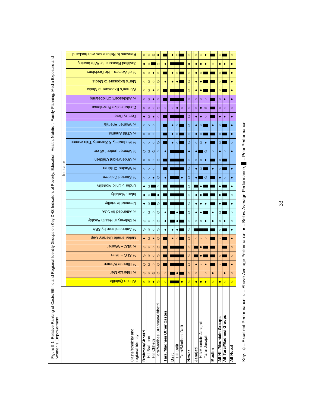|                                                                                                                              |          | Reasons to Refuse sex with husband       | $\circ$                | $\circledcirc$ | $\odot$             |                               |                            |         | $\odot$    |                     | $\odot$ | $\circ$   | $\odot$                |                |         | ⊙                        |                          | $\circ$   |
|------------------------------------------------------------------------------------------------------------------------------|----------|------------------------------------------|------------------------|----------------|---------------------|-------------------------------|----------------------------|---------|------------|---------------------|---------|-----------|------------------------|----------------|---------|--------------------------|--------------------------|-----------|
| Regional Identity Groups on Key DHS Indicators of Poverty, Education, Health, Nutrition, Family Planning, Media Exposure and |          | Justified Reasons for Wife beating       | ۰                      | $\circ$        |                     | $\odot$                       |                            |         |            |                     |         |           | ۰                      |                | $\circ$ |                          |                          |           |
|                                                                                                                              |          | % of Women - No Decisions                | $\circ$                | $\odot$        | ۰                   | $\circ$                       |                            |         | $\circ$    |                     | $\odot$ |           | $\circ$                |                |         | $\circ$                  |                          | ۰         |
|                                                                                                                              |          | Men's Exposure to Media                  | $\circ$                | $\odot$        | $\circ$             | $\odot$                       |                            |         | $\bullet$  |                     | $\odot$ |           | $\bullet$              |                |         | $\circ$                  |                          | $\bullet$ |
|                                                                                                                              |          | Women's Exposure to Media                | $\circ$                | $\odot$        | ۰                   | $\circ$                       |                            |         |            |                     | $\odot$ |           | $\bullet$              |                |         | $\circ$                  |                          | ۰         |
|                                                                                                                              |          | % Adolescent Childbearing                | $\circ$                | $\odot$        | ٠                   | $\circ$                       |                            |         |            |                     | $\circ$ | $\circ$   | $\circ$                | $\circ$        |         | $\circ$                  | $\bullet$                | $\bullet$ |
|                                                                                                                              |          | Contraceptive Prevalence                 | $\circ$                | $\circ$        | $\circ$             | $\odot$                       | $\circ$                    | $\circ$ | $\bullet$  | $\circ$             | $\odot$ | $\circ$   | $\bullet$              | $\odot$        |         | $\circ$                  | $\circ$                  | $\circ$   |
|                                                                                                                              |          | Fertility Rate                           | $\bullet$              | $\odot$        |                     | $\circ$                       |                            |         |            |                     | $\odot$ |           | $\bullet$              | $\circ$        |         | $\bullet$                |                          |           |
|                                                                                                                              |          | simenA nemoW &                           | $\circ$                | $\circ$        | $\circ$             |                               |                            |         | $\circ$    |                     | $\odot$ |           | $\circ$                |                |         | $\circ$                  |                          |           |
|                                                                                                                              |          | % Child Anemia                           | $\circ$                | $\circ$        | $\circ$             |                               |                            |         | $\circ$    |                     | $\odot$ |           | $\circ$                |                |         | $\circ$                  |                          | ٠         |
|                                                                                                                              |          | % Moderately & Severely Thin women       | $\circ$                | $\circ$        | $\circ$             | $\odot$                       |                            |         | $\circ$    |                     | $\odot$ | $\circ$   | $\odot$                |                |         | ⊙                        |                          | $\circ$   |
|                                                                                                                              |          | Women under 145 cm                       | $\odot$                | $\odot$        | ⊙                   | $\circ$                       |                            |         |            |                     |         |           |                        | ⊙              | $\circ$ | $\bullet$                | $\circ$                  |           |
|                                                                                                                              |          | % Underweight Children                   | $\circ$                | $\circ$        | $\circ$             | $\odot$                       |                            |         |            |                     | $\odot$ | $\circ$   | $\circ$                |                |         | $\circ$                  |                          |           |
|                                                                                                                              | Indicato | % Wasted Children                        | $\circ$                | $\circ$        | $\circ$             |                               |                            |         |            |                     | $\odot$ |           | $\odot$                |                |         | $\circ$                  |                          |           |
|                                                                                                                              |          | % Stunted Children                       | $\circ$                | $\circ$        | ٠                   | $\odot$                       |                            |         |            |                     | ⊙       |           |                        | $\odot$        |         |                          | $\circ$                  |           |
|                                                                                                                              |          | Under 5 Child Mortality                  |                        | $_{\odot}$     |                     | $\circ$                       |                            |         |            |                     | $\odot$ |           |                        |                |         |                          |                          |           |
|                                                                                                                              |          | <b>VillshoM</b> tnstnl                   | $\bullet$              | $\odot$        |                     |                               |                            |         |            |                     | $\odot$ |           |                        |                |         |                          |                          | $\circ$   |
|                                                                                                                              |          | <b>Veonatal Mortality</b>                |                        | $_{\odot}$     |                     | $\odot$                       |                            |         |            |                     | $\odot$ |           |                        |                |         |                          |                          | ٠         |
|                                                                                                                              |          | ABS vd bebnettA &                        | $\circ$                | $_{\odot}$     | $\circ$             | $\odot$                       |                            |         |            |                     | $\odot$ |           |                        |                |         | ⊙                        |                          | $\circ$   |
|                                                                                                                              |          | % Delivery in Health Facility            | $_{\odot}$             | $\odot$        | $\circ$             | $\odot$                       | ٠                          |         |            |                     | $\odot$ | $\circ$   | $\circ$                |                |         | $\circ$                  |                          | $\circ$   |
|                                                                                                                              |          | ABS yd enso IstsnetnA &                  | $_{\odot}$             | $\odot$        | $\circ$             | $\odot$                       |                            |         |            |                     | $\odot$ |           |                        |                |         | $\circ$                  |                          | $\bullet$ |
|                                                                                                                              |          | Male/Female Literacy Gap                 | $\bullet$              | $\odot$        |                     | $\odot$                       |                            |         | $\circ$    |                     | $\odot$ | $\circ$   | $\circ$                | $\circ$        |         | $\circ$                  |                          | $\bullet$ |
|                                                                                                                              |          | % SLC + Women                            | $\odot$                | $\odot$        | $\circ$             | $\odot$                       |                            |         |            |                     | $\odot$ |           |                        |                |         |                          |                          | $\circ$   |
|                                                                                                                              |          | $W + 27S$ %                              | $\odot$                | $\odot$        | $\circ$             | $\odot$                       |                            |         |            |                     | $\odot$ |           |                        |                |         | $\circ$                  |                          | $\circ$   |
|                                                                                                                              |          | % Illiterate Women                       | $\odot$                | $\odot$        | $\circ$             | $\odot$                       |                            |         |            |                     | $\odot$ |           | $\circ$                |                |         | $\circ$                  |                          |           |
| p                                                                                                                            |          | % Illiterate Men                         | $\odot$                | $\odot$        | ☺                   | $\odot$                       | $\circ$                    |         |            |                     | ⊙       | $\circ$   |                        | $\circ$        |         |                          |                          |           |
|                                                                                                                              |          | <b>Wealth Quintile</b>                   | $\circ$                | $\odot$        | $\bullet$           | $\odot$                       | $\circ$                    |         |            | $\bullet$           | $\odot$ | $\bullet$ | $\bullet$              | $\bullet$      | $\circ$ | $\bullet$                | $\circ$                  | $\circ$   |
| Figure 5.1 Relative Ranking of Caste/Ethnic ar<br>Women's Empowerment                                                        |          | Caste/ethnicity and<br>regional identity | <b>Brahman/Chhetri</b> | Hill Brahman   | <b>Hill Chhetri</b> | Tarai/Madhesi Brahman/Chhetri | Tarai/Madhesi Other Castes |         |            | Tarai/Madhesi Dalit |         |           | Hill/Mountain Janajati | Tarai Janajati |         | All Hill/Mountain Groups | All Tarai/Madhesi Groups |           |
|                                                                                                                              |          |                                          |                        |                |                     |                               |                            | Dalit   | Hill Dalit |                     | Newar   | Janajati  |                        |                | Muslim  |                          |                          | All Nepal |

Key: ©= Excellent Performance; ○ = Above Average Performance; ● = Below Average Performance; │ = Poor Performance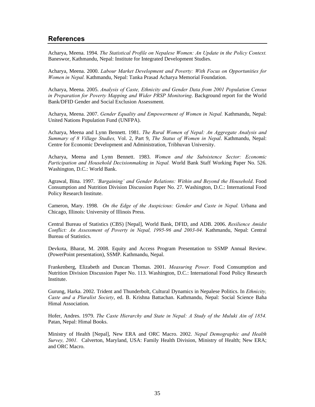# **References**

Acharya, Meena. 1994. *The Statistical Profile on Nepalese Women: An Update in the Policy Context.* Baneswor, Kathmandu, Nepal: Institute for Integrated Development Studies.

Acharya, Meena. 2000. *Labour Market Development and Poverty: With Focus on Opportunities for Women in Nepal.* Kathmandu, Nepal: Tanka Prasad Acharya Memorial Foundation.

Acharya, Meena. 2005. *Analysis of Caste, Ethnicity and Gender Data from 2001 Population Census in Preparation for Poverty Mapping and Wider PRSP Monitoring*. Background report for the World Bank/DFID Gender and Social Exclusion Assessment.

Acharya, Meena. 2007. *Gender Equality and Empowerment of Women in Nepal.* Kathmandu, Nepal: United Nations Population Fund (UNFPA).

Acharya, Meena and Lynn Bennett. 1981. *The Rural Women of Nepal: An Aggregate Analysis and Summary of 8 Village Studies,* Vol. 2, Part 9, *The Status of Women in Nepal*. Kathmandu, Nepal: Centre for Economic Development and Administration, Tribhuvan University.

Acharya, Meena and Lynn Bennett. 1983. *Women and the Subsistence Sector: Economic Participation and Household Decisionmaking in Nepal.* World Bank Staff Working Paper No. 526. Washington, D.C.: World Bank.

Agrawal, Bina. 1997. *'Bargaining' and Gender Relations: Within and Beyond the Household*. Food Consumption and Nutrition Division Discussion Paper No. 27. Washington, D.C.: International Food Policy Research Institute.

Cameron, Mary. 1998. *On the Edge of the Auspicious: Gender and Caste in Nepal.* Urbana and Chicago, Illinois: University of Illinois Press.

Central Bureau of Statistics (CBS) [Nepal], World Bank, DFID, and ADB. 2006. *Resilience Amidst Conflict: An Assessment of Poverty in Nepal, 1995-96 and 2003-04.* Kathmandu, Nepal: Central Bureau of Statistics.

Devkota, Bharat, M. 2008. Equity and Access Program Presentation to SSMP Annual Review. (PowerPoint presentation), SSMP. Kathmandu, Nepal.

Frankenberg, Elizabeth and Duncan Thomas. 2001. *Measuring Power.* Food Consumption and Nutrition Division Discussion Paper No. 113. Washington, D.C.: International Food Policy Research Institute.

Gurung, Harka. 2002. Trident and Thunderbolt, Cultural Dynamics in Nepalese Politics. In *Ethnicity, Caste and a Pluralist Society*, ed. B. Krishna Battachan. Kathmandu, Nepal: Social Science Baha Himal Association.

Hofer, Andres. 1979. *The Caste Hierarchy and State in Nepal: A Study of the Muluki Ain of 1854.*  Patan, Nepal: Himal Books.

Ministry of Health [Nepal], New ERA and ORC Macro. 2002. *Nepal Demographic and Health Survey, 2001.* Calverton, Maryland, USA: Family Health Division, Ministry of Health; New ERA; and ORC Macro.